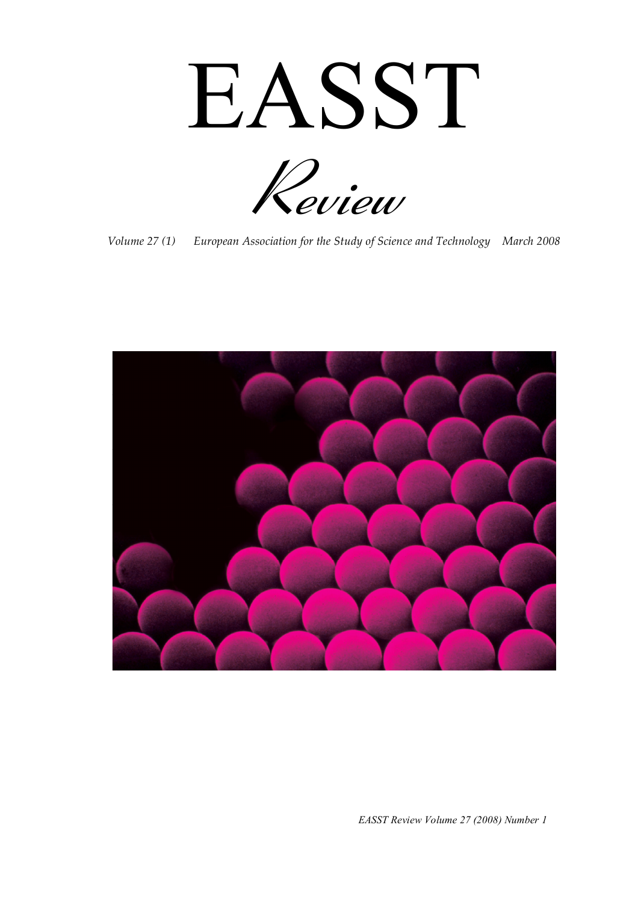EASST



*Volume 27 (1) European Association for the Study of Science and Technology March 2008* 



*EASST Review Volume 27 (2008) Number 1*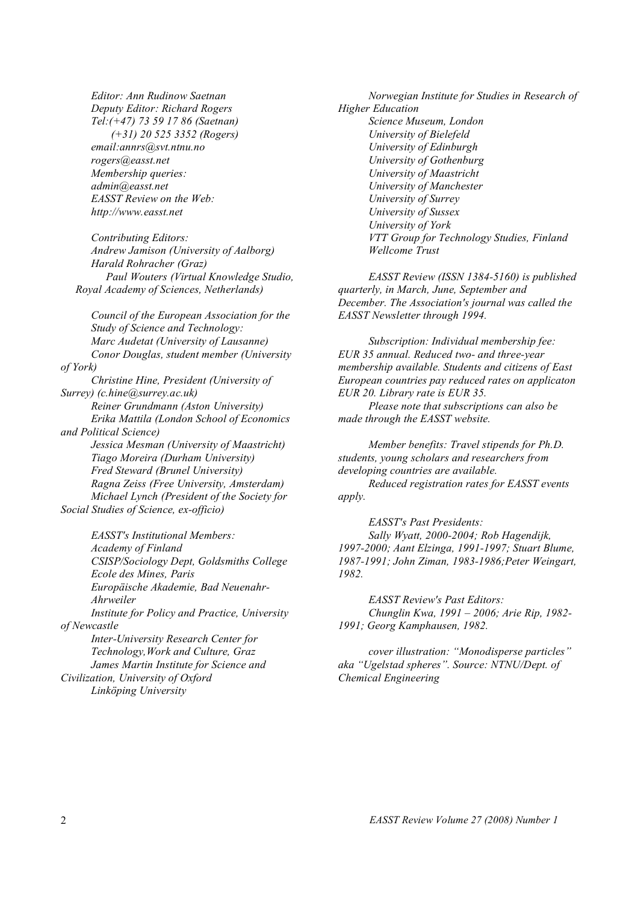*Editor: Ann Rudinow Saetnan Deputy Editor: Richard Rogers Tel:(+47) 73 59 17 86 (Saetnan) (+31) 20 525 3352 (Rogers) email:annrs@svt.ntnu.no rogers@easst.net Membership queries: admin@easst.net EASST Review on the Web: http://www.easst.net* 

*Contributing Editors: Andrew Jamison (University of Aalborg) Harald Rohracher (Graz) Paul Wouters (Virtual Knowledge Studio, Royal Academy of Sciences, Netherlands)* 

*Council of the European Association for the Study of Science and Technology: Marc Audetat (University of Lausanne) Conor Douglas, student member (University of York) Christine Hine, President (University of Surrey) (c.hine@surrey.ac.uk) Reiner Grundmann (Aston University) Erika Mattila (London School of Economics and Political Science) Jessica Mesman (University of Maastricht) Tiago Moreira (Durham University) Fred Steward (Brunel University) Ragna Zeiss (Free University, Amsterdam) Michael Lynch (President of the Society for Social Studies of Science, ex-officio)* 

*EASST's Institutional Members: Academy of Finland CSISP/Sociology Dept, Goldsmiths College Ecole des Mines, Paris Europäische Akademie, Bad Neuenahr-Ahrweiler Institute for Policy and Practice, University of Newcastle Inter-University Research Center for Technology,Work and Culture, Graz James Martin Institute for Science and Civilization, University of Oxford Linköping University* 

*Norwegian Institute for Studies in Research of Higher Education Science Museum, London University of Bielefeld University of Edinburgh University of Gothenburg University of Maastricht University of Manchester University of Surrey University of Sussex University of York VTT Group for Technology Studies, Finland Wellcome Trust* 

*EASST Review (ISSN 1384-5160) is published quarterly, in March, June, September and December. The Association's journal was called the EASST Newsletter through 1994.* 

*Subscription: Individual membership fee: EUR 35 annual. Reduced two- and three-year membership available. Students and citizens of East European countries pay reduced rates on applicaton EUR 20. Library rate is EUR 35.* 

*Please note that subscriptions can also be made through the EASST website.* 

*Member benefits: Travel stipends for Ph.D. students, young scholars and researchers from developing countries are available. Reduced registration rates for EASST events apply.* 

*EASST's Past Presidents: Sally Wyatt, 2000-2004; Rob Hagendijk, 1997-2000; Aant Elzinga, 1991-1997; Stuart Blume, 1987-1991; John Ziman, 1983-1986;Peter Weingart, 1982.* 

*EASST Review's Past Editors: Chunglin Kwa, 1991 – 2006; Arie Rip, 1982- 1991; Georg Kamphausen, 1982.* 

*cover illustration: "Monodisperse particles" aka "Ugelstad spheres". Source: NTNU/Dept. of Chemical Engineering*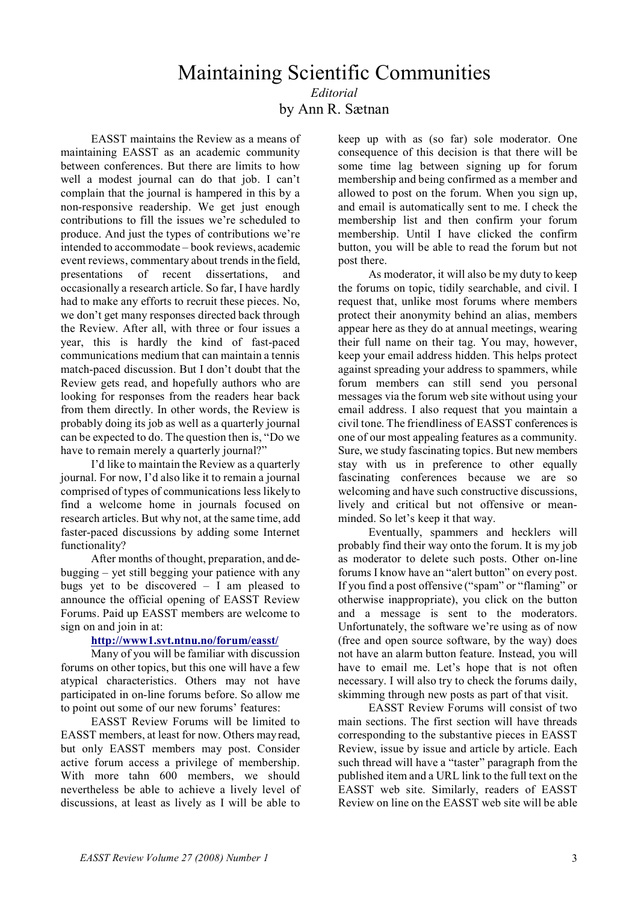## Maintaining Scientific Communities *Editorial*

by Ann R. Sætnan

EASST maintains the Review as a means of maintaining EASST as an academic community between conferences. But there are limits to how well a modest journal can do that job. I can't complain that the journal is hampered in this by a non-responsive readership. We get just enough contributions to fill the issues we're scheduled to produce. And just the types of contributions we're intended to accommodate – book reviews, academic event reviews, commentary about trends in the field, presentations of recent dissertations, and occasionally a research article. So far, I have hardly had to make any efforts to recruit these pieces. No, we don't get many responses directed back through the Review. After all, with three or four issues a year, this is hardly the kind of fast-paced communications medium that can maintain a tennis match-paced discussion. But I don't doubt that the Review gets read, and hopefully authors who are looking for responses from the readers hear back from them directly. In other words, the Review is probably doing its job as well as a quarterly journal can be expected to do. The question then is, "Do we have to remain merely a quarterly journal?"

I'd like to maintain the Review as a quarterly journal. For now, I'd also like it to remain a journal comprised of types of communications less likely to find a welcome home in journals focused on research articles. But why not, at the same time, add faster-paced discussions by adding some Internet functionality?

After months of thought, preparation, and debugging – yet still begging your patience with any bugs yet to be discovered – I am pleased to announce the official opening of EASST Review Forums. Paid up EASST members are welcome to sign on and join in at:

#### **http://www1.svt.ntnu.no/forum/easst/**

Many of you will be familiar with discussion forums on other topics, but this one will have a few atypical characteristics. Others may not have participated in on-line forums before. So allow me to point out some of our new forums' features:

EASST Review Forums will be limited to EASST members, at least for now. Others may read, but only EASST members may post. Consider active forum access a privilege of membership. With more tahn 600 members, we should nevertheless be able to achieve a lively level of discussions, at least as lively as I will be able to

keep up with as (so far) sole moderator. One consequence of this decision is that there will be some time lag between signing up for forum membership and being confirmed as a member and allowed to post on the forum. When you sign up, and email is automatically sent to me. I check the membership list and then confirm your forum membership. Until I have clicked the confirm button, you will be able to read the forum but not post there.

As moderator, it will also be my duty to keep the forums on topic, tidily searchable, and civil. I request that, unlike most forums where members protect their anonymity behind an alias, members appear here as they do at annual meetings, wearing their full name on their tag. You may, however, keep your email address hidden. This helps protect against spreading your address to spammers, while forum members can still send you personal messages via the forum web site without using your email address. I also request that you maintain a civil tone. The friendliness of EASST conferences is one of our most appealing features as a community. Sure, we study fascinating topics. But new members stay with us in preference to other equally fascinating conferences because we are so welcoming and have such constructive discussions, lively and critical but not offensive or meanminded. So let's keep it that way.

Eventually, spammers and hecklers will probably find their way onto the forum. It is my job as moderator to delete such posts. Other on-line forums I know have an "alert button" on every post. If you find a post offensive ("spam" or "flaming" or otherwise inappropriate), you click on the button and a message is sent to the moderators. Unfortunately, the software we're using as of now (free and open source software, by the way) does not have an alarm button feature. Instead, you will have to email me. Let's hope that is not often necessary. I will also try to check the forums daily, skimming through new posts as part of that visit.

EASST Review Forums will consist of two main sections. The first section will have threads corresponding to the substantive pieces in EASST Review, issue by issue and article by article. Each such thread will have a "taster" paragraph from the published item and a URL link to the full text on the EASST web site. Similarly, readers of EASST Review on line on the EASST web site will be able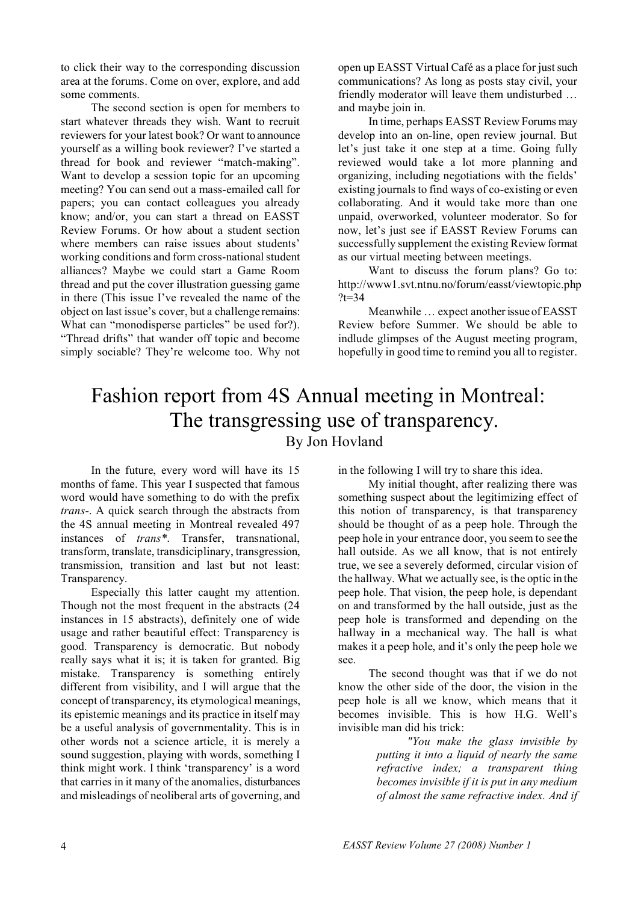to click their way to the corresponding discussion area at the forums. Come on over, explore, and add some comments.

The second section is open for members to start whatever threads they wish. Want to recruit reviewers for your latest book? Or want to announce yourself as a willing book reviewer? I've started a thread for book and reviewer "match-making". Want to develop a session topic for an upcoming meeting? You can send out a mass-emailed call for papers; you can contact colleagues you already know; and/or, you can start a thread on EASST Review Forums. Or how about a student section where members can raise issues about students' working conditions and form cross-national student alliances? Maybe we could start a Game Room thread and put the cover illustration guessing game in there (This issue I've revealed the name of the object on last issue's cover, but a challenge remains: What can "monodisperse particles" be used for?). "Thread drifts" that wander off topic and become simply sociable? They're welcome too. Why not

open up EASST Virtual Café as a place for just such communications? As long as posts stay civil, your friendly moderator will leave them undisturbed … and maybe join in.

In time, perhaps EASST Review Forums may develop into an on-line, open review journal. But let's just take it one step at a time. Going fully reviewed would take a lot more planning and organizing, including negotiations with the fields' existing journals to find ways of co-existing or even collaborating. And it would take more than one unpaid, overworked, volunteer moderator. So for now, let's just see if EASST Review Forums can successfully supplement the existing Review format as our virtual meeting between meetings.

Want to discuss the forum plans? Go to: http://www1.svt.ntnu.no/forum/easst/viewtopic.php  $?t=34$ 

Meanwhile … expect another issue of EASST Review before Summer. We should be able to indlude glimpses of the August meeting program, hopefully in good time to remind you all to register.

### Fashion report from 4S Annual meeting in Montreal: The transgressing use of transparency. By Jon Hovland

In the future, every word will have its 15 months of fame. This year I suspected that famous word would have something to do with the prefix *trans-*. A quick search through the abstracts from the 4S annual meeting in Montreal revealed 497 instances of *trans\**. Transfer, transnational, transform, translate, transdiciplinary, transgression, transmission, transition and last but not least: Transparency.

Especially this latter caught my attention. Though not the most frequent in the abstracts (24 instances in 15 abstracts), definitely one of wide usage and rather beautiful effect: Transparency is good. Transparency is democratic. But nobody really says what it is; it is taken for granted. Big mistake. Transparency is something entirely different from visibility, and I will argue that the concept of transparency, its etymological meanings, its epistemic meanings and its practice in itself may be a useful analysis of governmentality. This is in other words not a science article, it is merely a sound suggestion, playing with words, something I think might work. I think 'transparency' is a word that carries in it many of the anomalies, disturbances and misleadings of neoliberal arts of governing, and in the following I will try to share this idea.

My initial thought, after realizing there was something suspect about the legitimizing effect of this notion of transparency, is that transparency should be thought of as a peep hole. Through the peep hole in your entrance door, you seem to see the hall outside. As we all know, that is not entirely true, we see a severely deformed, circular vision of the hallway. What we actually see, is the optic in the peep hole. That vision, the peep hole, is dependant on and transformed by the hall outside, just as the peep hole is transformed and depending on the hallway in a mechanical way. The hall is what makes it a peep hole, and it's only the peep hole we see.

The second thought was that if we do not know the other side of the door, the vision in the peep hole is all we know, which means that it becomes invisible. This is how H.G. Well's invisible man did his trick:

> *"You make the glass invisible by putting it into a liquid of nearly the same refractive index; a transparent thing becomes invisible if it is put in any medium of almost the same refractive index. And if*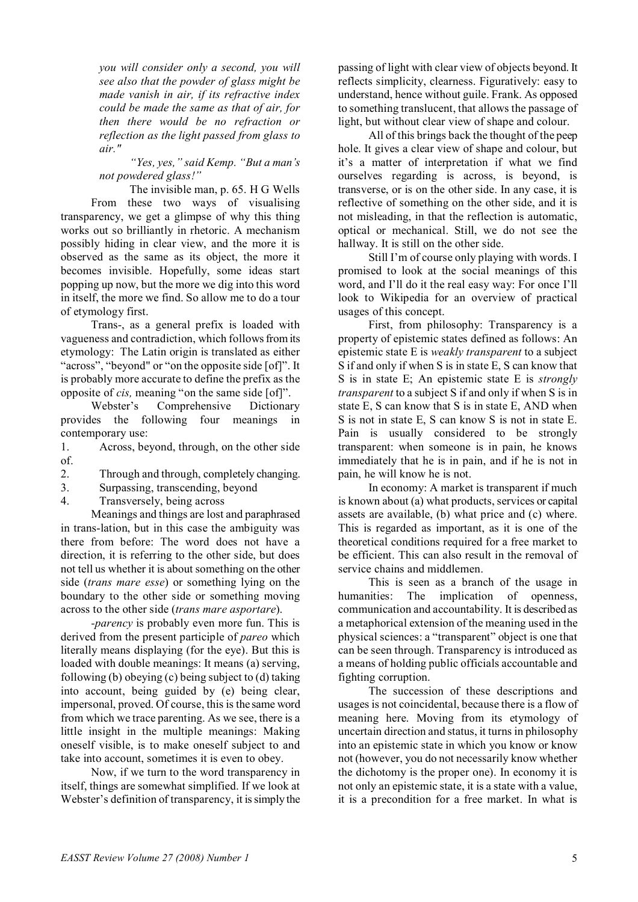*you will consider only a second, you will see also that the powder of glass might be made vanish in air, if its refractive index could be made the same as that of air, for then there would be no refraction or reflection as the light passed from glass to air."* 

*"Yes, yes," said Kemp. "But a man's not powdered glass!"* 

The invisible man, p. 65. H G Wells From these two ways of visualising transparency, we get a glimpse of why this thing works out so brilliantly in rhetoric. A mechanism possibly hiding in clear view, and the more it is observed as the same as its object, the more it becomes invisible. Hopefully, some ideas start popping up now, but the more we dig into this word in itself, the more we find. So allow me to do a tour of etymology first.

Trans-, as a general prefix is loaded with vagueness and contradiction, which follows from its etymology: The Latin origin is translated as either "across", "beyond" or "on the opposite side [of]". It is probably more accurate to define the prefix as the opposite of *cis,* meaning "on the same side [of]".

Webster's Comprehensive Dictionary provides the following four meanings in contemporary use:

1. Across, beyond, through, on the other side of.

2. Through and through, completely changing.

3. Surpassing, transcending, beyond

4. Transversely, being across

Meanings and things are lost and paraphrased in trans-lation, but in this case the ambiguity was there from before: The word does not have a direction, it is referring to the other side, but does not tell us whether it is about something on the other side (*trans mare esse*) or something lying on the boundary to the other side or something moving across to the other side (*trans mare asportare*).

*-parency* is probably even more fun. This is derived from the present participle of *pareo* which literally means displaying (for the eye). But this is loaded with double meanings: It means (a) serving, following (b) obeying (c) being subject to (d) taking into account, being guided by (e) being clear, impersonal, proved. Of course, this is the same word from which we trace parenting. As we see, there is a little insight in the multiple meanings: Making oneself visible, is to make oneself subject to and take into account, sometimes it is even to obey.

Now, if we turn to the word transparency in itself, things are somewhat simplified. If we look at Webster's definition of transparency, it is simply the passing of light with clear view of objects beyond. It reflects simplicity, clearness. Figuratively: easy to understand, hence without guile. Frank. As opposed to something translucent, that allows the passage of light, but without clear view of shape and colour.

All of this brings back the thought of the peep hole. It gives a clear view of shape and colour, but it's a matter of interpretation if what we find ourselves regarding is across, is beyond, is transverse, or is on the other side. In any case, it is reflective of something on the other side, and it is not misleading, in that the reflection is automatic, optical or mechanical. Still, we do not see the hallway. It is still on the other side.

Still I'm of course only playing with words. I promised to look at the social meanings of this word, and I'll do it the real easy way: For once I'll look to Wikipedia for an overview of practical usages of this concept.

First, from philosophy: Transparency is a property of epistemic states defined as follows: An epistemic state E is *weakly transparent* to a subject S if and only if when S is in state E, S can know that S is in state E; An epistemic state E is *strongly transparent* to a subject S if and only if when S is in state E, S can know that S is in state E, AND when S is not in state E, S can know S is not in state E. Pain is usually considered to be strongly transparent: when someone is in pain, he knows immediately that he is in pain, and if he is not in pain, he will know he is not.

In economy: A market is transparent if much is known about (a) what products, services or capital assets are available, (b) what price and (c) where. This is regarded as important, as it is one of the theoretical conditions required for a free market to be efficient. This can also result in the removal of service chains and middlemen.

This is seen as a branch of the usage in humanities: The implication of openness, communication and accountability. It is described as a metaphorical extension of the meaning used in the physical sciences: a "transparent" object is one that can be seen through. Transparency is introduced as a means of holding public officials accountable and fighting corruption.

The succession of these descriptions and usages is not coincidental, because there is a flow of meaning here. Moving from its etymology of uncertain direction and status, it turns in philosophy into an epistemic state in which you know or know not (however, you do not necessarily know whether the dichotomy is the proper one). In economy it is not only an epistemic state, it is a state with a value, it is a precondition for a free market. In what is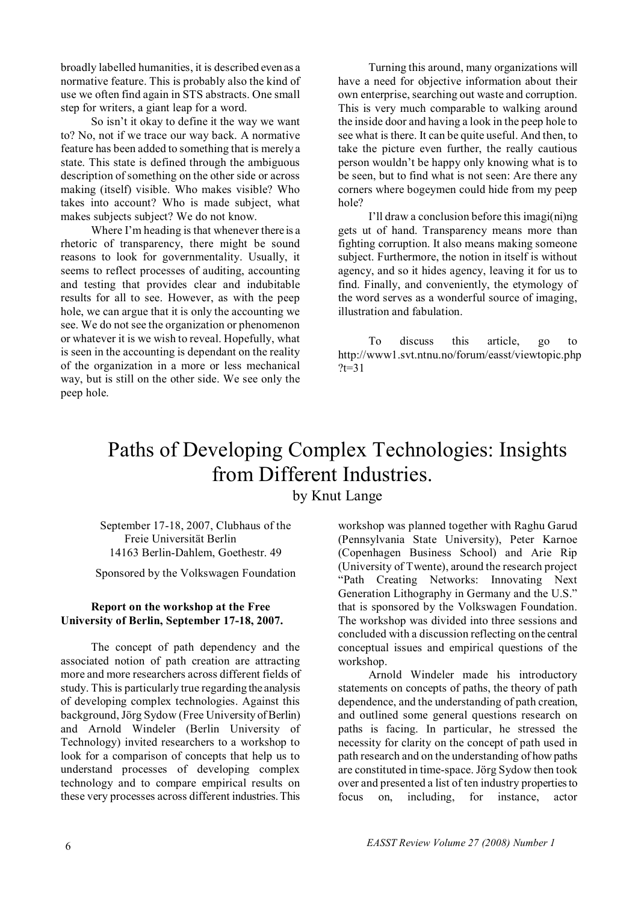broadly labelled humanities, it is described even as a normative feature. This is probably also the kind of use we often find again in STS abstracts. One small step for writers, a giant leap for a word.

So isn't it okay to define it the way we want to? No, not if we trace our way back. A normative feature has been added to something that is merely a state. This state is defined through the ambiguous description of something on the other side or across making (itself) visible. Who makes visible? Who takes into account? Who is made subject, what makes subjects subject? We do not know.

Where I'm heading is that whenever there is a rhetoric of transparency, there might be sound reasons to look for governmentality. Usually, it seems to reflect processes of auditing, accounting and testing that provides clear and indubitable results for all to see. However, as with the peep hole, we can argue that it is only the accounting we see. We do not see the organization or phenomenon or whatever it is we wish to reveal. Hopefully, what is seen in the accounting is dependant on the reality of the organization in a more or less mechanical way, but is still on the other side. We see only the peep hole.

Turning this around, many organizations will have a need for objective information about their own enterprise, searching out waste and corruption. This is very much comparable to walking around the inside door and having a look in the peep hole to see what is there. It can be quite useful. And then, to take the picture even further, the really cautious person wouldn't be happy only knowing what is to be seen, but to find what is not seen: Are there any corners where bogeymen could hide from my peep hole?

I'll draw a conclusion before this imagi(ni)ng gets ut of hand. Transparency means more than fighting corruption. It also means making someone subject. Furthermore, the notion in itself is without agency, and so it hides agency, leaving it for us to find. Finally, and conveniently, the etymology of the word serves as a wonderful source of imaging, illustration and fabulation.

To discuss this article, go to http://www1.svt.ntnu.no/forum/easst/viewtopic.php  $?t=31$ 

### Paths of Developing Complex Technologies: Insights from Different Industries. by Knut Lange

September 17-18, 2007, Clubhaus of the Freie Universität Berlin 14163 Berlin-Dahlem, Goethestr. 49

Sponsored by the Volkswagen Foundation

#### **Report on the workshop at the Free University of Berlin, September 17-18, 2007.**

The concept of path dependency and the associated notion of path creation are attracting more and more researchers across different fields of study. This is particularly true regarding the analysis of developing complex technologies. Against this background, Jörg Sydow (Free University of Berlin) and Arnold Windeler (Berlin University of Technology) invited researchers to a workshop to look for a comparison of concepts that help us to understand processes of developing complex technology and to compare empirical results on these very processes across different industries. This

workshop was planned together with Raghu Garud (Pennsylvania State University), Peter Karnoe (Copenhagen Business School) and Arie Rip (University of Twente), around the research project "Path Creating Networks: Innovating Next Generation Lithography in Germany and the U.S." that is sponsored by the Volkswagen Foundation. The workshop was divided into three sessions and concluded with a discussion reflecting on the central conceptual issues and empirical questions of the workshop.

Arnold Windeler made his introductory statements on concepts of paths, the theory of path dependence, and the understanding of path creation, and outlined some general questions research on paths is facing. In particular, he stressed the necessity for clarity on the concept of path used in path research and on the understanding of how paths are constituted in time-space. Jörg Sydow then took over and presented a list of ten industry properties to focus on, including, for instance, actor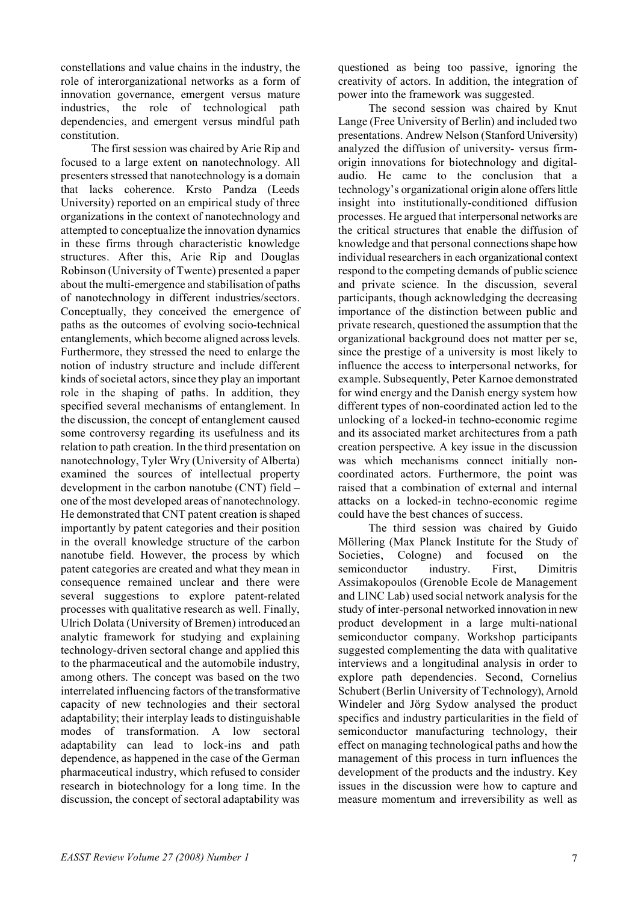constellations and value chains in the industry, the role of interorganizational networks as a form of innovation governance, emergent versus mature industries, the role of technological path dependencies, and emergent versus mindful path constitution.

The first session was chaired by Arie Rip and focused to a large extent on nanotechnology. All presenters stressed that nanotechnology is a domain that lacks coherence. Krsto Pandza (Leeds University) reported on an empirical study of three organizations in the context of nanotechnology and attempted to conceptualize the innovation dynamics in these firms through characteristic knowledge structures. After this, Arie Rip and Douglas Robinson (University of Twente) presented a paper about the multi-emergence and stabilisation of paths of nanotechnology in different industries/sectors. Conceptually, they conceived the emergence of paths as the outcomes of evolving socio-technical entanglements, which become aligned across levels. Furthermore, they stressed the need to enlarge the notion of industry structure and include different kinds of societal actors, since they play an important role in the shaping of paths. In addition, they specified several mechanisms of entanglement. In the discussion, the concept of entanglement caused some controversy regarding its usefulness and its relation to path creation. In the third presentation on nanotechnology, Tyler Wry (University of Alberta) examined the sources of intellectual property development in the carbon nanotube (CNT) field – one of the most developed areas of nanotechnology. He demonstrated that CNT patent creation is shaped importantly by patent categories and their position in the overall knowledge structure of the carbon nanotube field. However, the process by which patent categories are created and what they mean in consequence remained unclear and there were several suggestions to explore patent-related processes with qualitative research as well. Finally, Ulrich Dolata (University of Bremen) introduced an analytic framework for studying and explaining technology-driven sectoral change and applied this to the pharmaceutical and the automobile industry, among others. The concept was based on the two interrelated influencing factors of the transformative capacity of new technologies and their sectoral adaptability; their interplay leads to distinguishable modes of transformation. A low sectoral adaptability can lead to lock-ins and path dependence, as happened in the case of the German pharmaceutical industry, which refused to consider research in biotechnology for a long time. In the discussion, the concept of sectoral adaptability was

questioned as being too passive, ignoring the creativity of actors. In addition, the integration of power into the framework was suggested.

The second session was chaired by Knut Lange (Free University of Berlin) and included two presentations. Andrew Nelson (Stanford University) analyzed the diffusion of university- versus firmorigin innovations for biotechnology and digitalaudio. He came to the conclusion that a technology's organizational origin alone offers little insight into institutionally-conditioned diffusion processes. He argued that interpersonal networks are the critical structures that enable the diffusion of knowledge and that personal connections shape how individual researchers in each organizational context respond to the competing demands of public science and private science. In the discussion, several participants, though acknowledging the decreasing importance of the distinction between public and private research, questioned the assumption that the organizational background does not matter per se, since the prestige of a university is most likely to influence the access to interpersonal networks, for example. Subsequently, Peter Karnoe demonstrated for wind energy and the Danish energy system how different types of non-coordinated action led to the unlocking of a locked-in techno-economic regime and its associated market architectures from a path creation perspective. A key issue in the discussion was which mechanisms connect initially noncoordinated actors. Furthermore, the point was raised that a combination of external and internal attacks on a locked-in techno-economic regime could have the best chances of success.

The third session was chaired by Guido Möllering (Max Planck Institute for the Study of Societies, Cologne) and focused on the semiconductor industry. First, Dimitris Assimakopoulos (Grenoble Ecole de Management and LINC Lab) used social network analysis for the study of inter-personal networked innovation in new product development in a large multi-national semiconductor company. Workshop participants suggested complementing the data with qualitative interviews and a longitudinal analysis in order to explore path dependencies. Second, Cornelius Schubert (Berlin University of Technology), Arnold Windeler and Jörg Sydow analysed the product specifics and industry particularities in the field of semiconductor manufacturing technology, their effect on managing technological paths and how the management of this process in turn influences the development of the products and the industry. Key issues in the discussion were how to capture and measure momentum and irreversibility as well as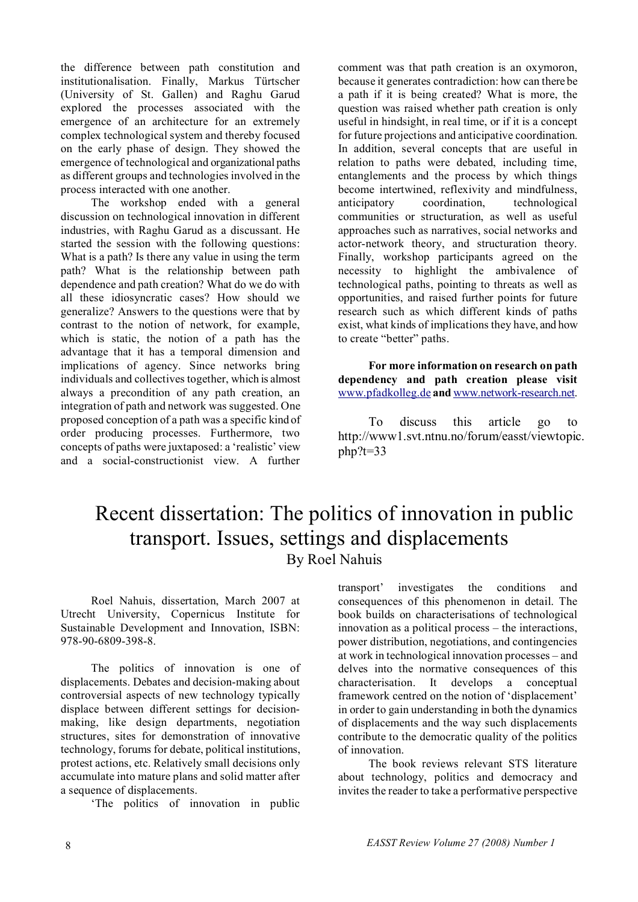the difference between path constitution and institutionalisation. Finally, Markus Türtscher (University of St. Gallen) and Raghu Garud explored the processes associated with the emergence of an architecture for an extremely complex technological system and thereby focused on the early phase of design. They showed the emergence of technological and organizational paths as different groups and technologies involved in the process interacted with one another.

The workshop ended with a general discussion on technological innovation in different industries, with Raghu Garud as a discussant. He started the session with the following questions: What is a path? Is there any value in using the term path? What is the relationship between path dependence and path creation? What do we do with all these idiosyncratic cases? How should we generalize? Answers to the questions were that by contrast to the notion of network, for example, which is static, the notion of a path has the advantage that it has a temporal dimension and implications of agency. Since networks bring individuals and collectives together, which is almost always a precondition of any path creation, an integration of path and network was suggested. One proposed conception of a path was a specific kind of order producing processes. Furthermore, two concepts of paths were juxtaposed: a 'realistic' view and a social-constructionist view. A further

comment was that path creation is an oxymoron, because it generates contradiction: how can there be a path if it is being created? What is more, the question was raised whether path creation is only useful in hindsight, in real time, or if it is a concept for future projections and anticipative coordination. In addition, several concepts that are useful in relation to paths were debated, including time, entanglements and the process by which things become intertwined, reflexivity and mindfulness, anticipatory coordination, technological communities or structuration, as well as useful approaches such as narratives, social networks and actor-network theory, and structuration theory. Finally, workshop participants agreed on the necessity to highlight the ambivalence of technological paths, pointing to threats as well as opportunities, and raised further points for future research such as which different kinds of paths exist, what kinds of implications they have, and how to create "better" paths.

**For more information on research on path dependency and path creation please visit**  www.pfadkolleg.de **and** www.network-research.net.

To discuss this article go to http://www1.svt.ntnu.no/forum/easst/viewtopic.  $php$ ?t=33

## Recent dissertation: The politics of innovation in public transport. Issues, settings and displacements By Roel Nahuis

Roel Nahuis, dissertation, March 2007 at Utrecht University, Copernicus Institute for Sustainable Development and Innovation, ISBN: 978-90-6809-398-8.

The politics of innovation is one of displacements. Debates and decision-making about controversial aspects of new technology typically displace between different settings for decisionmaking, like design departments, negotiation structures, sites for demonstration of innovative technology, forums for debate, political institutions, protest actions, etc. Relatively small decisions only accumulate into mature plans and solid matter after a sequence of displacements.

'The politics of innovation in public

transport' investigates the conditions and consequences of this phenomenon in detail. The book builds on characterisations of technological innovation as a political process – the interactions, power distribution, negotiations, and contingencies at work in technological innovation processes – and delves into the normative consequences of this characterisation. It develops a conceptual framework centred on the notion of 'displacement' in order to gain understanding in both the dynamics of displacements and the way such displacements contribute to the democratic quality of the politics of innovation.

The book reviews relevant STS literature about technology, politics and democracy and invites the reader to take a performative perspective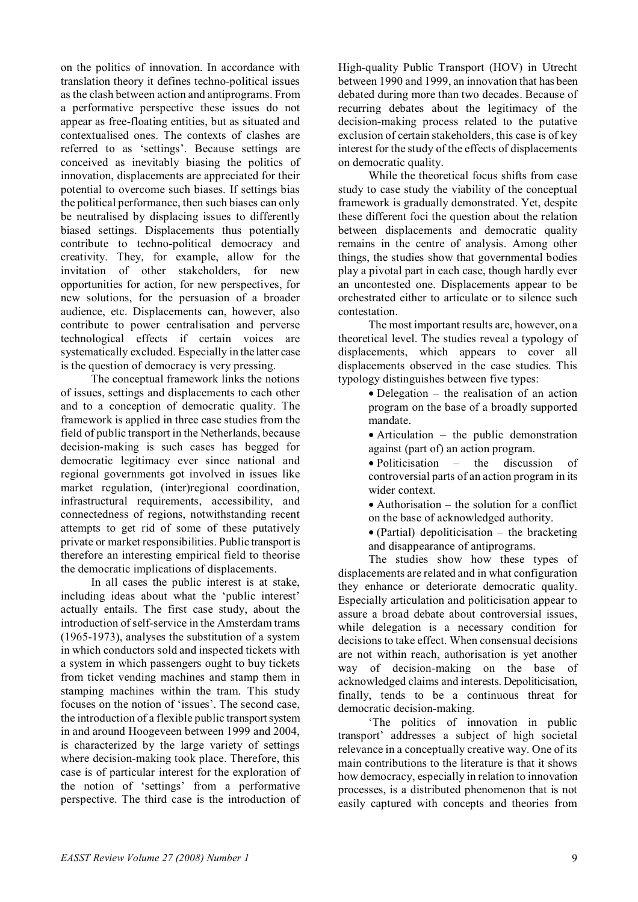on the politics of innovation. In accordance with translation theory it defines techno-political issues as the clash between action and antiprograms. From a performative perspective these issues do not appear as free-floating entities, but as situated and contextualised ones. The contexts of clashes are referred to as 'settings'. Because settings are conceived as inevitably biasing the politics of innovation, displacements are appreciated for their potential to overcome such biases. If settings bias the political performance, then such biases can only be neutralised by displacing issues to differently biased settings. Displacements thus potentially contribute to techno-political democracy and creativity. They, for example, allow for the invitation of other stakeholders, for new opportunities for action, for new perspectives, for new solutions, for the persuasion of a broader audience, etc. Displacements can, however, also contribute to power centralisation and perverse technological effects if certain voices are systematically excluded. Especially in the latter case is the question of democracy is very pressing.

The conceptual framework links the notions of issues, settings and displacements to each other and to a conception of democratic quality. The framework is applied in three case studies from the field of public transport in the Netherlands, because decision-making is such cases has begged for democratic legitimacy ever since national and regional governments got involved in issues like market regulation, (inter)regional coordination, infrastructural requirements, accessibility, and connectedness of regions, notwithstanding recent attempts to get rid of some of these putatively private or market responsibilities. Public transport is therefore an interesting empirical field to theorise the democratic implications of displacements.

In all cases the public interest is at stake, including ideas about what the 'public interest' actually entails. The first case study, about the introduction of self-service in the Amsterdam trams (1965-1973), analyses the substitution of a system in which conductors sold and inspected tickets with a system in which passengers ought to buy tickets from ticket vending machines and stamp them in stamping machines within the tram. This study focuses on the notion of 'issues'. The second case, the introduction of a flexible public transport system in and around Hoogeveen between 1999 and 2004, is characterized by the large variety of settings where decision-making took place. Therefore, this case is of particular interest for the exploration of the notion of 'settings' from a performative perspective. The third case is the introduction of

High-quality Public Transport (HOV) in Utrecht between 1990 and 1999, an innovation that has been debated during more than two decades. Because of recurring debates about the legitimacy of the decision-making process related to the putative exclusion of certain stakeholders, this case is of key interest for the study of the effects of displacements on democratic quality.

While the theoretical focus shifts from case study to case study the viability of the conceptual framework is gradually demonstrated. Yet, despite these different foci the question about the relation between displacements and democratic quality remains in the centre of analysis. Among other things, the studies show that governmental bodies play a pivotal part in each case, though hardly ever an uncontested one. Displacements appear to be orchestrated either to articulate or to silence such contestation.

The most important results are, however, on a theoretical level. The studies reveal a typology of displacements, which appears to cover all displacements observed in the case studies. This typology distinguishes between five types:

> • Delegation – the realisation of an action program on the base of a broadly supported mandate.

> • Articulation – the public demonstration against (part of) an action program.

> • Politicisation – the discussion of controversial parts of an action program in its wider context.

> • Authorisation – the solution for a conflict on the base of acknowledged authority.

> $\bullet$  (Partial) depoliticisation – the bracketing and disappearance of antiprograms.

The studies show how these types of displacements are related and in what configuration they enhance or deteriorate democratic quality. Especially articulation and politicisation appear to assure a broad debate about controversial issues, while delegation is a necessary condition for decisions to take effect. When consensual decisions are not within reach, authorisation is yet another way of decision-making on the base of acknowledged claims and interests. Depoliticisation, finally, tends to be a continuous threat for democratic decision-making.

'The politics of innovation in public transport' addresses a subject of high societal relevance in a conceptually creative way. One of its main contributions to the literature is that it shows how democracy, especially in relation to innovation processes, is a distributed phenomenon that is not easily captured with concepts and theories from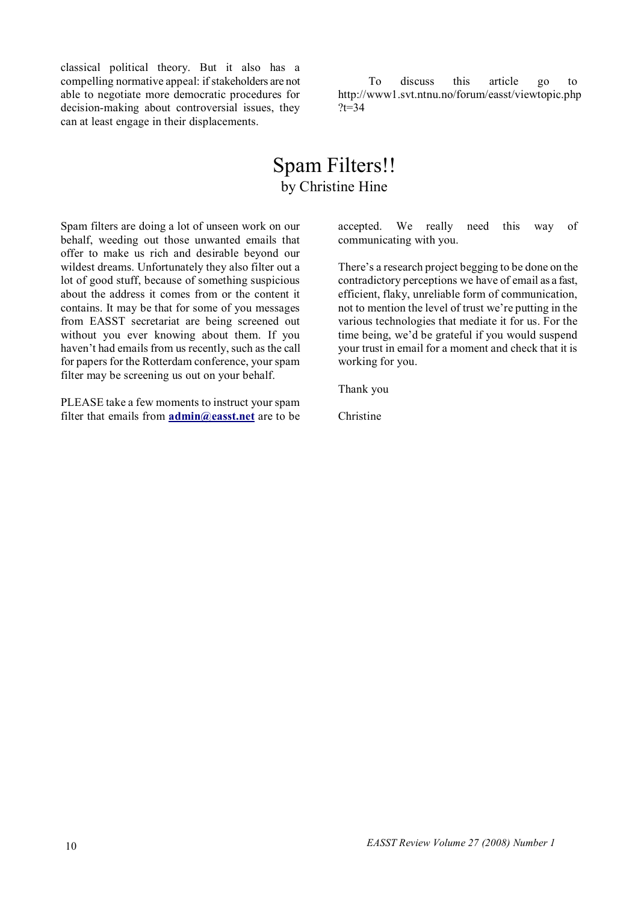classical political theory. But it also has a compelling normative appeal: if stakeholders are not able to negotiate more democratic procedures for decision-making about controversial issues, they can at least engage in their displacements.

To discuss this article go to http://www1.svt.ntnu.no/forum/easst/viewtopic.php  $?t = 34$ 

### Spam Filters!! by Christine Hine

Spam filters are doing a lot of unseen work on our behalf, weeding out those unwanted emails that offer to make us rich and desirable beyond our wildest dreams. Unfortunately they also filter out a lot of good stuff, because of something suspicious about the address it comes from or the content it contains. It may be that for some of you messages from EASST secretariat are being screened out without you ever knowing about them. If you haven't had emails from us recently, such as the call for papers for the Rotterdam conference, your spam filter may be screening us out on your behalf.

PLEASE take a few moments to instruct your spam filter that emails from **admin@easst.net** are to be accepted. We really need this way of communicating with you.

There's a research project begging to be done on the contradictory perceptions we have of email as a fast, efficient, flaky, unreliable form of communication, not to mention the level of trust we're putting in the various technologies that mediate it for us. For the time being, we'd be grateful if you would suspend your trust in email for a moment and check that it is working for you.

Thank you

Christine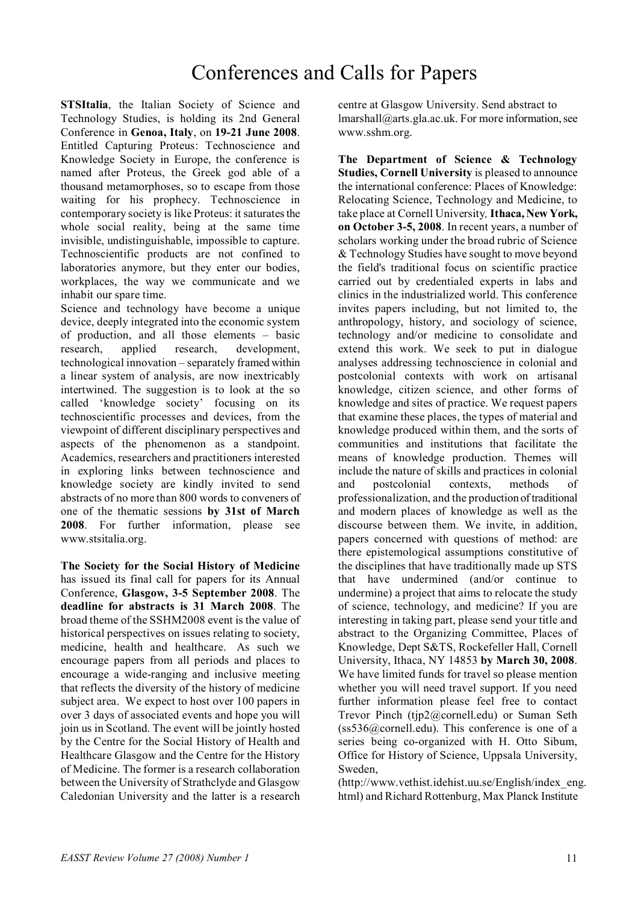## Conferences and Calls for Papers

**STSItalia**, the Italian Society of Science and Technology Studies, is holding its 2nd General Conference in **Genoa, Italy**, on **19-21 June 2008**. Entitled Capturing Proteus: Technoscience and Knowledge Society in Europe, the conference is named after Proteus, the Greek god able of a thousand metamorphoses, so to escape from those waiting for his prophecy. Technoscience in contemporary society is like Proteus: it saturates the whole social reality, being at the same time invisible, undistinguishable, impossible to capture. Technoscientific products are not confined to laboratories anymore, but they enter our bodies, workplaces, the way we communicate and we inhabit our spare time.

Science and technology have become a unique device, deeply integrated into the economic system of production, and all those elements – basic research, applied research, development, technological innovation – separately framed within a linear system of analysis, are now inextricably intertwined. The suggestion is to look at the so called 'knowledge society' focusing on its technoscientific processes and devices, from the viewpoint of different disciplinary perspectives and aspects of the phenomenon as a standpoint. Academics, researchers and practitioners interested in exploring links between technoscience and knowledge society are kindly invited to send abstracts of no more than 800 words to conveners of one of the thematic sessions **by 31st of March 2008**. For further information, please see www.stsitalia.org.

**The Society for the Social History of Medicine** has issued its final call for papers for its Annual Conference, **Glasgow, 3-5 September 2008**. The **deadline for abstracts is 31 March 2008**. The broad theme of the SSHM2008 event is the value of historical perspectives on issues relating to society, medicine, health and healthcare. As such we encourage papers from all periods and places to encourage a wide-ranging and inclusive meeting that reflects the diversity of the history of medicine subject area. We expect to host over 100 papers in over 3 days of associated events and hope you will join us in Scotland. The event will be jointly hosted by the Centre for the Social History of Health and Healthcare Glasgow and the Centre for the History of Medicine. The former is a research collaboration between the University of Strathclyde and Glasgow Caledonian University and the latter is a research

centre at Glasgow University. Send abstract to lmarshall@arts.gla.ac.uk. For more information, see www.sshm.org.

**The Department of Science & Technology Studies, Cornell University** is pleased to announce the international conference: Places of Knowledge: Relocating Science, Technology and Medicine, to take place at Cornell University*,* **Ithaca, New York, on October 3-5, 2008**. In recent years, a number of scholars working under the broad rubric of Science & Technology Studies have sought to move beyond the field's traditional focus on scientific practice carried out by credentialed experts in labs and clinics in the industrialized world. This conference invites papers including, but not limited to, the anthropology, history, and sociology of science, technology and/or medicine to consolidate and extend this work. We seek to put in dialogue analyses addressing technoscience in colonial and postcolonial contexts with work on artisanal knowledge, citizen science, and other forms of knowledge and sites of practice. We request papers that examine these places, the types of material and knowledge produced within them, and the sorts of communities and institutions that facilitate the means of knowledge production. Themes will include the nature of skills and practices in colonial and postcolonial contexts, methods of professionalization, and the production of traditional and modern places of knowledge as well as the discourse between them. We invite, in addition, papers concerned with questions of method: are there epistemological assumptions constitutive of the disciplines that have traditionally made up STS that have undermined (and/or continue to undermine) a project that aims to relocate the study of science, technology, and medicine? If you are interesting in taking part, please send your title and abstract to the Organizing Committee, Places of Knowledge, Dept S&TS, Rockefeller Hall, Cornell University, Ithaca, NY 14853 **by March 30, 2008**. We have limited funds for travel so please mention whether you will need travel support. If you need further information please feel free to contact Trevor Pinch (tjp2@cornell.edu) or Suman Seth  $(ss536@correll.edu)$ . This conference is one of a series being co-organized with H. Otto Sibum, Office for History of Science, Uppsala University, Sweden,

(http://www.vethist.idehist.uu.se/English/index\_eng. html) and Richard Rottenburg, Max Planck Institute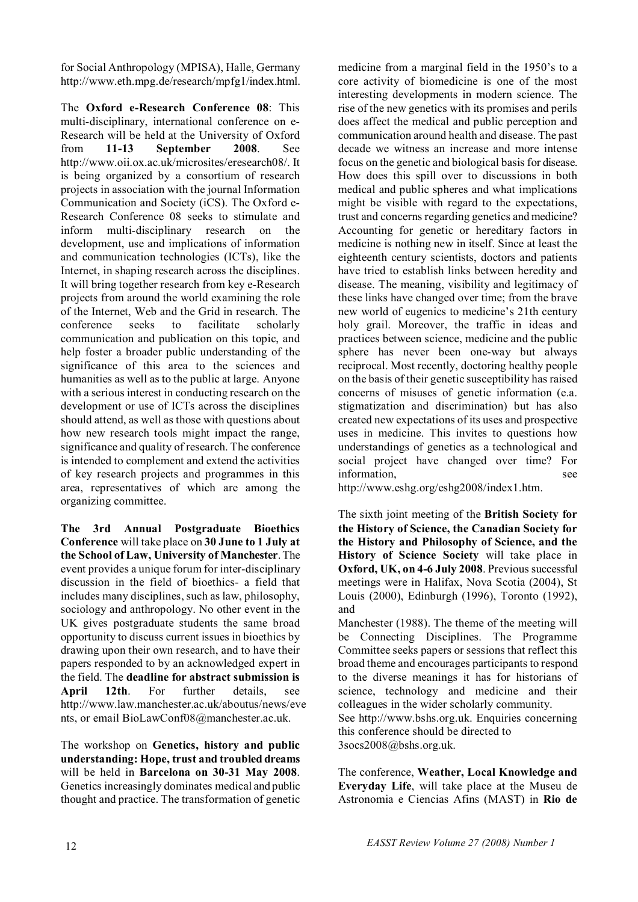for Social Anthropology (MPISA), Halle, Germany http://www.eth.mpg.de/research/mpfg1/index.html.

The **Oxford e-Research Conference 08**: This multi-disciplinary, international conference on e-Research will be held at the University of Oxford from **11-13 September 2008**. See http://www.oii.ox.ac.uk/microsites/eresearch08/. It is being organized by a consortium of research projects in association with the journal Information Communication and Society (iCS). The Oxford e-Research Conference 08 seeks to stimulate and inform multi-disciplinary research on the development, use and implications of information and communication technologies (ICTs), like the Internet, in shaping research across the disciplines. It will bring together research from key e-Research projects from around the world examining the role of the Internet, Web and the Grid in research. The conference seeks to facilitate scholarly communication and publication on this topic, and help foster a broader public understanding of the significance of this area to the sciences and humanities as well as to the public at large. Anyone with a serious interest in conducting research on the development or use of ICTs across the disciplines should attend, as well as those with questions about how new research tools might impact the range, significance and quality of research. The conference is intended to complement and extend the activities of key research projects and programmes in this area, representatives of which are among the organizing committee.

**The 3rd Annual Postgraduate Bioethics Conference** will take place on **30 June to 1 July at the School of Law, University of Manchester**. The event provides a unique forum for inter-disciplinary discussion in the field of bioethics- a field that includes many disciplines, such as law, philosophy, sociology and anthropology. No other event in the UK gives postgraduate students the same broad opportunity to discuss current issues in bioethics by drawing upon their own research, and to have their papers responded to by an acknowledged expert in the field. The **deadline for abstract submission is April 12th**. For further details, see http://www.law.manchester.ac.uk/aboutus/news/eve nts, or email BioLawConf08@manchester.ac.uk.

The workshop on **Genetics, history and public understanding: Hope, trust and troubled dreams** will be held in **Barcelona on 30-31 May 2008**. Genetics increasingly dominates medical and public thought and practice. The transformation of genetic medicine from a marginal field in the 1950's to a core activity of biomedicine is one of the most interesting developments in modern science. The rise of the new genetics with its promises and perils does affect the medical and public perception and communication around health and disease. The past decade we witness an increase and more intense focus on the genetic and biological basis for disease. How does this spill over to discussions in both medical and public spheres and what implications might be visible with regard to the expectations, trust and concerns regarding genetics and medicine? Accounting for genetic or hereditary factors in medicine is nothing new in itself. Since at least the eighteenth century scientists, doctors and patients have tried to establish links between heredity and disease. The meaning, visibility and legitimacy of these links have changed over time; from the brave new world of eugenics to medicine's 21th century holy grail. Moreover, the traffic in ideas and practices between science, medicine and the public sphere has never been one-way but always reciprocal. Most recently, doctoring healthy people on the basis of their genetic susceptibility has raised concerns of misuses of genetic information (e.a. stigmatization and discrimination) but has also created new expectations of its uses and prospective uses in medicine. This invites to questions how understandings of genetics as a technological and social project have changed over time? For information, see

http://www.eshg.org/eshg2008/index1.htm.

The sixth joint meeting of the **British Society for the History of Science, the Canadian Society for the History and Philosophy of Science, and the History of Science Society** will take place in **Oxford, UK, on 4-6 July 2008**. Previous successful meetings were in Halifax, Nova Scotia (2004), St Louis (2000), Edinburgh (1996), Toronto (1992), and

Manchester (1988). The theme of the meeting will be Connecting Disciplines. The Programme Committee seeks papers or sessions that reflect this broad theme and encourages participants to respond to the diverse meanings it has for historians of science, technology and medicine and their colleagues in the wider scholarly community.

See http://www.bshs.org.uk. Enquiries concerning this conference should be directed to 3socs2008@bshs.org.uk.

The conference, **Weather, Local Knowledge and Everyday Life**, will take place at the Museu de Astronomia e Ciencias Afins (MAST) in **Rio de**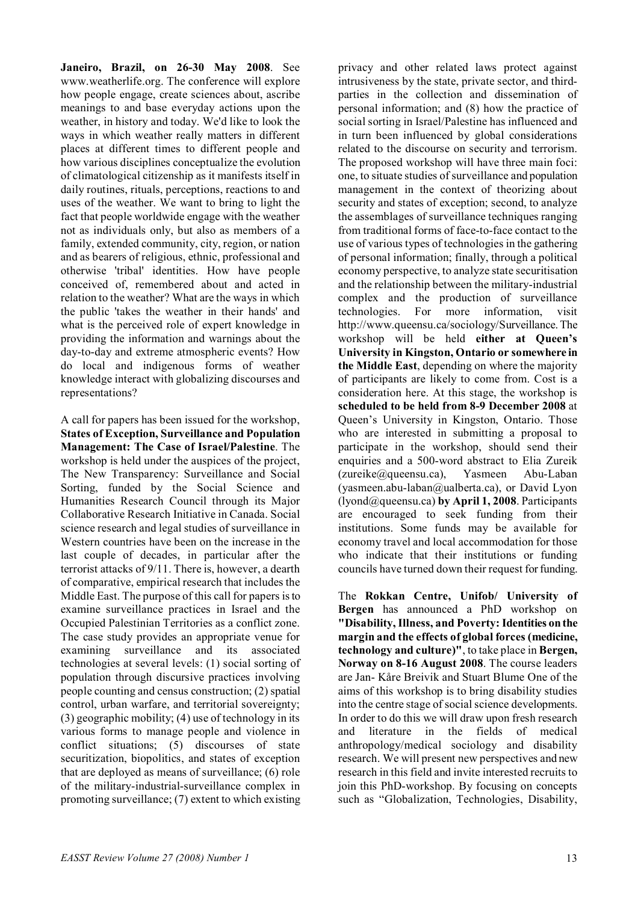**Janeiro, Brazil, on 26-30 May 2008**. See www.weatherlife.org. The conference will explore how people engage, create sciences about, ascribe meanings to and base everyday actions upon the weather, in history and today. We'd like to look the ways in which weather really matters in different places at different times to different people and how various disciplines conceptualize the evolution of climatological citizenship as it manifests itself in daily routines, rituals, perceptions, reactions to and uses of the weather. We want to bring to light the fact that people worldwide engage with the weather not as individuals only, but also as members of a family, extended community, city, region, or nation and as bearers of religious, ethnic, professional and otherwise 'tribal' identities. How have people conceived of, remembered about and acted in relation to the weather? What are the ways in which the public 'takes the weather in their hands' and what is the perceived role of expert knowledge in providing the information and warnings about the day-to-day and extreme atmospheric events? How do local and indigenous forms of weather knowledge interact with globalizing discourses and representations?

A call for papers has been issued for the workshop, **States of Exception, Surveillance and Population Management: The Case of Israel/Palestine**. The workshop is held under the auspices of the project, The New Transparency: Surveillance and Social Sorting, funded by the Social Science and Humanities Research Council through its Major Collaborative Research Initiative in Canada. Social science research and legal studies of surveillance in Western countries have been on the increase in the last couple of decades, in particular after the terrorist attacks of 9/11. There is, however, a dearth of comparative, empirical research that includes the Middle East. The purpose of this call for papers is to examine surveillance practices in Israel and the Occupied Palestinian Territories as a conflict zone. The case study provides an appropriate venue for examining surveillance and its associated technologies at several levels: (1) social sorting of population through discursive practices involving people counting and census construction; (2) spatial control, urban warfare, and territorial sovereignty; (3) geographic mobility; (4) use of technology in its various forms to manage people and violence in conflict situations; (5) discourses of state securitization, biopolitics, and states of exception that are deployed as means of surveillance; (6) role of the military-industrial-surveillance complex in promoting surveillance; (7) extent to which existing

privacy and other related laws protect against intrusiveness by the state, private sector, and thirdparties in the collection and dissemination of personal information; and (8) how the practice of social sorting in Israel/Palestine has influenced and in turn been influenced by global considerations related to the discourse on security and terrorism. The proposed workshop will have three main foci: one, to situate studies of surveillance and population management in the context of theorizing about security and states of exception; second, to analyze the assemblages of surveillance techniques ranging from traditional forms of face-to-face contact to the use of various types of technologies in the gathering of personal information; finally, through a political economy perspective, to analyze state securitisation and the relationship between the military-industrial complex and the production of surveillance technologies. For more information, visit http://www.queensu.ca/sociology/Surveillance. The workshop will be held **either at Queen's University in Kingston, Ontario or somewhere in the Middle East**, depending on where the majority of participants are likely to come from. Cost is a consideration here. At this stage, the workshop is **scheduled to be held from 8-9 December 2008** at Queen's University in Kingston, Ontario. Those who are interested in submitting a proposal to participate in the workshop, should send their enquiries and a 500-word abstract to Elia Zureik (zureike@queensu.ca), Yasmeen Abu-Laban (yasmeen.abu-laban@ualberta.ca), or David Lyon (lyond@queensu.ca) **by April 1, 2008**. Participants are encouraged to seek funding from their institutions. Some funds may be available for economy travel and local accommodation for those who indicate that their institutions or funding councils have turned down their request for funding.

The **Rokkan Centre, Unifob/ University of Bergen** has announced a PhD workshop on **"Disability, Illness, and Poverty: Identities on the margin and the effects of global forces (medicine, technology and culture)"**, to take place in **Bergen, Norway on 8-16 August 2008**. The course leaders are Jan- Kåre Breivik and Stuart Blume One of the aims of this workshop is to bring disability studies into the centre stage of social science developments. In order to do this we will draw upon fresh research and literature in the fields of medical anthropology/medical sociology and disability research. We will present new perspectives and new research in this field and invite interested recruits to join this PhD-workshop. By focusing on concepts such as "Globalization, Technologies, Disability,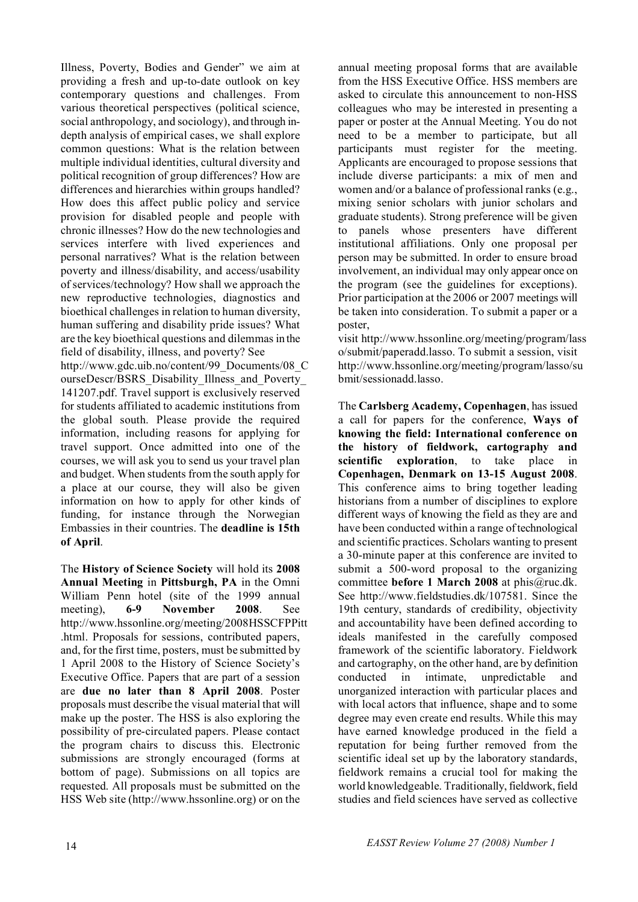Illness, Poverty, Bodies and Gender" we aim at providing a fresh and up-to-date outlook on key contemporary questions and challenges. From various theoretical perspectives (political science, social anthropology, and sociology), and through indepth analysis of empirical cases, we shall explore common questions: What is the relation between multiple individual identities, cultural diversity and political recognition of group differences? How are differences and hierarchies within groups handled? How does this affect public policy and service provision for disabled people and people with chronic illnesses? How do the new technologies and services interfere with lived experiences and personal narratives? What is the relation between poverty and illness/disability, and access/usability of services/technology? How shall we approach the new reproductive technologies, diagnostics and bioethical challenges in relation to human diversity, human suffering and disability pride issues? What are the key bioethical questions and dilemmas in the field of disability, illness, and poverty? See http://www.gdc.uib.no/content/99\_Documents/08\_C ourseDescr/BSRS\_Disability\_Illness\_and\_Poverty\_ 141207.pdf. Travel support is exclusively reserved for students affiliated to academic institutions from the global south. Please provide the required information, including reasons for applying for travel support. Once admitted into one of the courses, we will ask you to send us your travel plan and budget. When students from the south apply for a place at our course, they will also be given information on how to apply for other kinds of funding, for instance through the Norwegian Embassies in their countries. The **deadline is 15th of April**.

The **History of Science Society** will hold its **2008 Annual Meeting** in **Pittsburgh, PA** in the Omni William Penn hotel (site of the 1999 annual meeting), **6-9 November 2008**. See http://www.hssonline.org/meeting/2008HSSCFPPitt .html. Proposals for sessions, contributed papers, and, for the first time, posters, must be submitted by 1 April 2008 to the History of Science Society's Executive Office. Papers that are part of a session are **due no later than 8 April 2008**. Poster proposals must describe the visual material that will make up the poster. The HSS is also exploring the possibility of pre-circulated papers. Please contact the program chairs to discuss this. Electronic submissions are strongly encouraged (forms at bottom of page). Submissions on all topics are requested. All proposals must be submitted on the HSS Web site (http://www.hssonline.org) or on the

annual meeting proposal forms that are available from the HSS Executive Office. HSS members are asked to circulate this announcement to non-HSS colleagues who may be interested in presenting a paper or poster at the Annual Meeting. You do not need to be a member to participate, but all participants must register for the meeting. Applicants are encouraged to propose sessions that include diverse participants: a mix of men and women and/or a balance of professional ranks (e.g., mixing senior scholars with junior scholars and graduate students). Strong preference will be given to panels whose presenters have different institutional affiliations. Only one proposal per person may be submitted. In order to ensure broad involvement, an individual may only appear once on the program (see the guidelines for exceptions). Prior participation at the 2006 or 2007 meetings will be taken into consideration. To submit a paper or a poster

visit http://www.hssonline.org/meeting/program/lass o/submit/paperadd.lasso. To submit a session, visit http://www.hssonline.org/meeting/program/lasso/su bmit/sessionadd.lasso.

The **Carlsberg Academy, Copenhagen**, has issued a call for papers for the conference, **Ways of knowing the field: International conference on the history of fieldwork, cartography and scientific exploration**, to take place in **Copenhagen, Denmark on 13-15 August 2008**. This conference aims to bring together leading historians from a number of disciplines to explore different ways of knowing the field as they are and have been conducted within a range of technological and scientific practices. Scholars wanting to present a 30-minute paper at this conference are invited to submit a 500-word proposal to the organizing committee **before 1 March 2008** at phis@ruc.dk. See http://www.fieldstudies.dk/107581. Since the 19th century, standards of credibility, objectivity and accountability have been defined according to ideals manifested in the carefully composed framework of the scientific laboratory. Fieldwork and cartography, on the other hand, are by definition conducted in intimate, unpredictable and unorganized interaction with particular places and with local actors that influence, shape and to some degree may even create end results. While this may have earned knowledge produced in the field a reputation for being further removed from the scientific ideal set up by the laboratory standards, fieldwork remains a crucial tool for making the world knowledgeable. Traditionally, fieldwork, field studies and field sciences have served as collective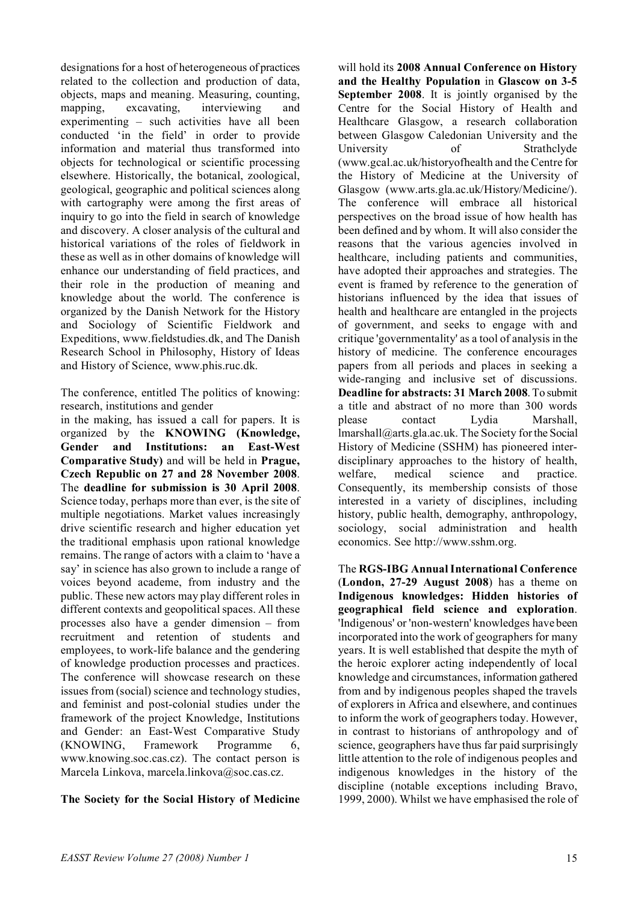designations for a host of heterogeneous of practices related to the collection and production of data, objects, maps and meaning. Measuring, counting, mapping, excavating, interviewing and experimenting – such activities have all been conducted 'in the field' in order to provide information and material thus transformed into objects for technological or scientific processing elsewhere. Historically, the botanical, zoological, geological, geographic and political sciences along with cartography were among the first areas of inquiry to go into the field in search of knowledge and discovery. A closer analysis of the cultural and historical variations of the roles of fieldwork in these as well as in other domains of knowledge will enhance our understanding of field practices, and their role in the production of meaning and knowledge about the world. The conference is organized by the Danish Network for the History and Sociology of Scientific Fieldwork and Expeditions, www.fieldstudies.dk, and The Danish Research School in Philosophy, History of Ideas and History of Science, www.phis.ruc.dk.

The conference, entitled The politics of knowing: research, institutions and gender

in the making, has issued a call for papers. It is organized by the **KNOWING (Knowledge, Gender and Institutions: an East-West Comparative Study)** and will be held in **Prague, Czech Republic on 27 and 28 November 2008**. The **deadline for submission is 30 April 2008**. Science today, perhaps more than ever, is the site of multiple negotiations. Market values increasingly drive scientific research and higher education yet the traditional emphasis upon rational knowledge remains. The range of actors with a claim to 'have a say' in science has also grown to include a range of voices beyond academe, from industry and the public. These new actors may play different roles in different contexts and geopolitical spaces. All these processes also have a gender dimension – from recruitment and retention of students and employees, to work-life balance and the gendering of knowledge production processes and practices. The conference will showcase research on these issues from (social) science and technology studies, and feminist and post-colonial studies under the framework of the project Knowledge, Institutions and Gender: an East-West Comparative Study (KNOWING, Framework Programme 6, www.knowing.soc.cas.cz). The contact person is Marcela Linkova, marcela.linkova@soc.cas.cz.

#### **The Society for the Social History of Medicine**

will hold its **2008 Annual Conference on History and the Healthy Population** in **Glascow on 3-5 September 2008**. It is jointly organised by the Centre for the Social History of Health and Healthcare Glasgow, a research collaboration between Glasgow Caledonian University and the University of Strathclyde (www.gcal.ac.uk/historyofhealth and the Centre for the History of Medicine at the University of Glasgow (www.arts.gla.ac.uk/History/Medicine/). The conference will embrace all historical perspectives on the broad issue of how health has been defined and by whom. It will also consider the reasons that the various agencies involved in healthcare, including patients and communities, have adopted their approaches and strategies. The event is framed by reference to the generation of historians influenced by the idea that issues of health and healthcare are entangled in the projects of government, and seeks to engage with and critique 'governmentality' as a tool of analysis in the history of medicine. The conference encourages papers from all periods and places in seeking a wide-ranging and inclusive set of discussions. **Deadline for abstracts: 31 March 2008**. To submit a title and abstract of no more than 300 words please contact Lydia Marshall, lmarshall@arts.gla.ac.uk. The Society for the Social History of Medicine (SSHM) has pioneered interdisciplinary approaches to the history of health, welfare, medical science and practice. Consequently, its membership consists of those interested in a variety of disciplines, including history, public health, demography, anthropology, sociology, social administration and health economics. See http://www.sshm.org.

The **RGS-IBG Annual International Conference** (**London, 27-29 August 2008**) has a theme on **Indigenous knowledges: Hidden histories of geographical field science and exploration**. 'Indigenous' or 'non-western' knowledges have been incorporated into the work of geographers for many years. It is well established that despite the myth of the heroic explorer acting independently of local knowledge and circumstances, information gathered from and by indigenous peoples shaped the travels of explorers in Africa and elsewhere, and continues to inform the work of geographers today. However, in contrast to historians of anthropology and of science, geographers have thus far paid surprisingly little attention to the role of indigenous peoples and indigenous knowledges in the history of the discipline (notable exceptions including Bravo, 1999, 2000). Whilst we have emphasised the role of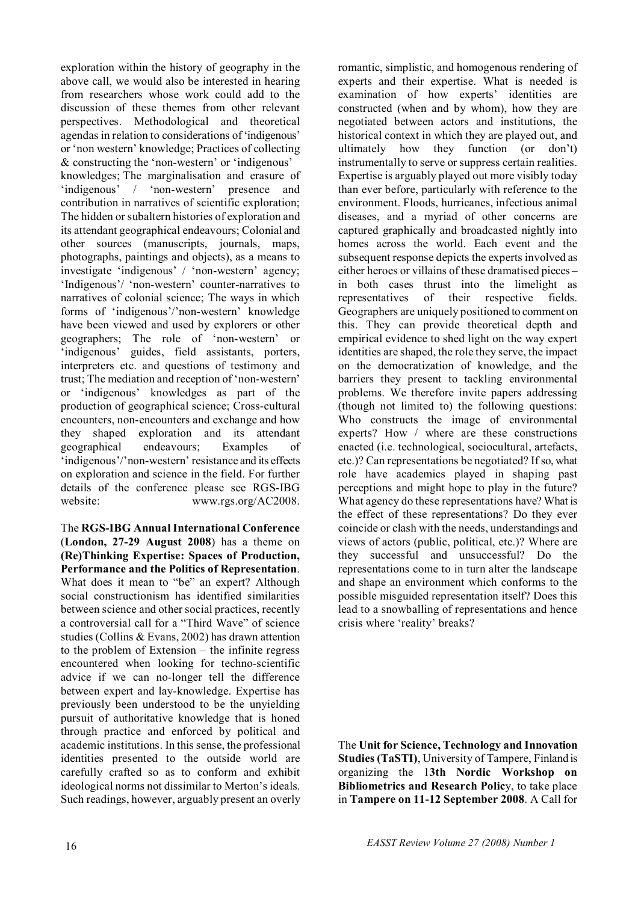exploration within the history of geography in the above call, we would also be interested in hearing from researchers whose work could add to the discussion of these themes from other relevant perspectives. Methodological and theoretical agendas in relation to considerations of 'indigenous' or 'non western' knowledge; Practices of collecting & constructing the 'non-western' or 'indigenous' knowledges; The marginalisation and erasure of 'indigenous' / 'non-western' presence and contribution in narratives of scientific exploration; The hidden or subaltern histories of exploration and its attendant geographical endeavours; Colonial and other sources (manuscripts, journals, maps, photographs, paintings and objects), as a means to investigate 'indigenous' / 'non-western' agency; 'Indigenous'/ 'non-western' counter-narratives to narratives of colonial science; The ways in which forms of 'indigenous'/'non-western' knowledge have been viewed and used by explorers or other geographers; The role of 'non-western' or 'indigenous' guides, field assistants, porters, interpreters etc. and questions of testimony and trust; The mediation and reception of 'non-western' or 'indigenous' knowledges as part of the production of geographical science; Cross-cultural encounters, non-encounters and exchange and how they shaped exploration and its attendant geographical endeavours; Examples of 'indigenous'/'non-western' resistance and its effects on exploration and science in the field. For further details of the conference please see RGS-IBG website: www.rgs.org/AC2008.

The **RGS-IBG Annual International Conference** (**London, 27-29 August 2008**) has a theme on **(Re)Thinking Expertise: Spaces of Production, Performance and the Politics of Representation**. What does it mean to "be" an expert? Although social constructionism has identified similarities between science and other social practices, recently a controversial call for a "Third Wave" of science studies (Collins & Evans, 2002) has drawn attention to the problem of Extension – the infinite regress encountered when looking for techno-scientific advice if we can no-longer tell the difference between expert and lay-knowledge. Expertise has previously been understood to be the unyielding pursuit of authoritative knowledge that is honed through practice and enforced by political and academic institutions. In this sense, the professional identities presented to the outside world are carefully crafted so as to conform and exhibit ideological norms not dissimilar to Merton's ideals. Such readings, however, arguably present an overly romantic, simplistic, and homogenous rendering of experts and their expertise. What is needed is examination of how experts' identities are constructed (when and by whom), how they are negotiated between actors and institutions, the historical context in which they are played out, and ultimately how they function (or don't) instrumentally to serve or suppress certain realities. Expertise is arguably played out more visibly today than ever before, particularly with reference to the environment. Floods, hurricanes, infectious animal diseases, and a myriad of other concerns are captured graphically and broadcasted nightly into homes across the world. Each event and the subsequent response depicts the experts involved as either heroes or villains of these dramatised pieces – in both cases thrust into the limelight as representatives of their respective fields. Geographers are uniquely positioned to comment on this. They can provide theoretical depth and empirical evidence to shed light on the way expert identities are shaped, the role they serve, the impact on the democratization of knowledge, and the barriers they present to tackling environmental problems. We therefore invite papers addressing (though not limited to) the following questions: Who constructs the image of environmental experts? How / where are these constructions enacted (i.e. technological, sociocultural, artefacts, etc.)? Can representations be negotiated? If so, what role have academics played in shaping past perceptions and might hope to play in the future? What agency do these representations have? What is the effect of these representations? Do they ever coincide or clash with the needs, understandings and views of actors (public, political, etc.)? Where are they successful and unsuccessful? Do the representations come to in turn alter the landscape and shape an environment which conforms to the possible misguided representation itself? Does this lead to a snowballing of representations and hence crisis where 'reality' breaks?

The **Unit for Science, Technology and Innovation Studies (TaSTI)**, University of Tampere, Finland is organizing the 1**3th Nordic Workshop on Bibliometrics and Research Polic**y, to take place in **Tampere on 11-12 September 2008**. A Call for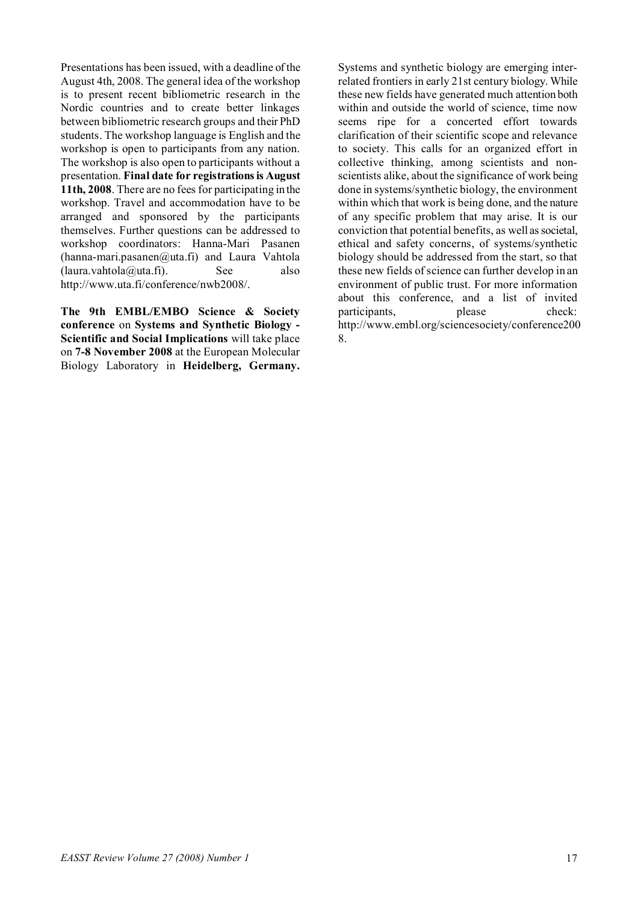Presentations has been issued, with a deadline of the August 4th, 2008. The general idea of the workshop is to present recent bibliometric research in the Nordic countries and to create better linkages between bibliometric research groups and their PhD students. The workshop language is English and the workshop is open to participants from any nation. The workshop is also open to participants without a presentation. **Final date for registrations is August 11th, 2008**. There are no fees for participating in the workshop. Travel and accommodation have to be arranged and sponsored by the participants themselves. Further questions can be addressed to workshop coordinators: Hanna-Mari Pasanen  $(hanna-mari.pasanen@uta.fi)$  and Laura Vahtola  $(laura, vahtola@uta.fi)$ . See also http://www.uta.fi/conference/nwb2008/.

**The 9th EMBL/EMBO Science & Society conference** on **Systems and Synthetic Biology - Scientific and Social Implications** will take place on **7-8 November 2008** at the European Molecular Biology Laboratory in **Heidelberg, Germany.**

Systems and synthetic biology are emerging interrelated frontiers in early 21st century biology. While these new fields have generated much attention both within and outside the world of science, time now seems ripe for a concerted effort towards clarification of their scientific scope and relevance to society. This calls for an organized effort in collective thinking, among scientists and nonscientists alike, about the significance of work being done in systems/synthetic biology, the environment within which that work is being done, and the nature of any specific problem that may arise. It is our conviction that potential benefits, as well as societal, ethical and safety concerns, of systems/synthetic biology should be addressed from the start, so that these new fields of science can further develop in an environment of public trust. For more information about this conference, and a list of invited participants, please check: http://www.embl.org/sciencesociety/conference200 8.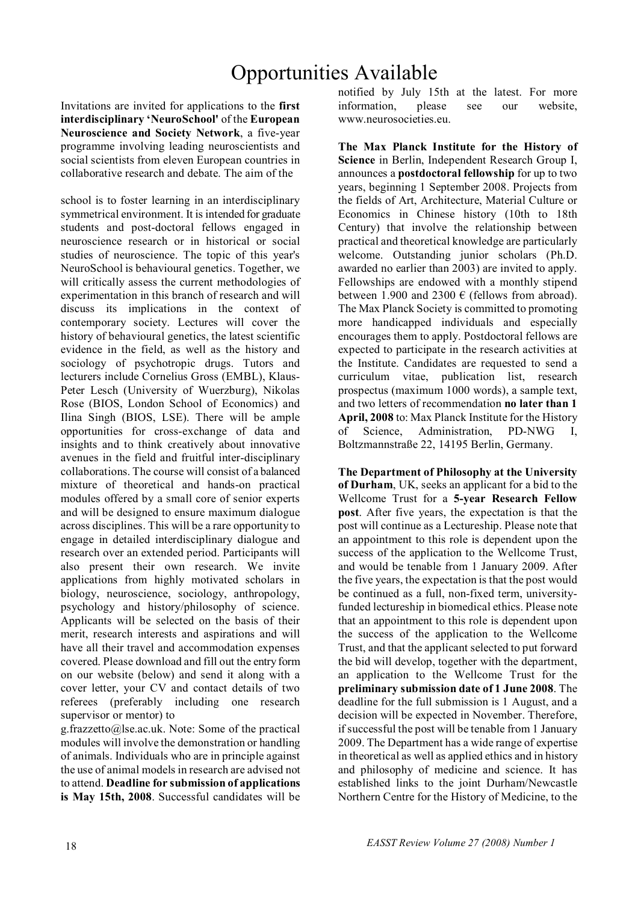# Opportunities Available

Invitations are invited for applications to the **first interdisciplinary 'NeuroSchool'** of the **European Neuroscience and Society Network**, a five-year programme involving leading neuroscientists and social scientists from eleven European countries in collaborative research and debate. The aim of the

school is to foster learning in an interdisciplinary symmetrical environment. It is intended for graduate students and post-doctoral fellows engaged in neuroscience research or in historical or social studies of neuroscience. The topic of this year's NeuroSchool is behavioural genetics. Together, we will critically assess the current methodologies of experimentation in this branch of research and will discuss its implications in the context of contemporary society. Lectures will cover the history of behavioural genetics, the latest scientific evidence in the field, as well as the history and sociology of psychotropic drugs. Tutors and lecturers include Cornelius Gross (EMBL), Klaus-Peter Lesch (University of Wuerzburg), Nikolas Rose (BIOS, London School of Economics) and Ilina Singh (BIOS, LSE). There will be ample opportunities for cross-exchange of data and insights and to think creatively about innovative avenues in the field and fruitful inter-disciplinary collaborations. The course will consist of a balanced mixture of theoretical and hands-on practical modules offered by a small core of senior experts and will be designed to ensure maximum dialogue across disciplines. This will be a rare opportunity to engage in detailed interdisciplinary dialogue and research over an extended period. Participants will also present their own research. We invite applications from highly motivated scholars in biology, neuroscience, sociology, anthropology, psychology and history/philosophy of science. Applicants will be selected on the basis of their merit, research interests and aspirations and will have all their travel and accommodation expenses covered. Please download and fill out the entry form on our website (below) and send it along with a cover letter, your CV and contact details of two referees (preferably including one research supervisor or mentor) to

g.frazzetto@lse.ac.uk. Note: Some of the practical modules will involve the demonstration or handling of animals. Individuals who are in principle against the use of animal models in research are advised not to attend. **Deadline for submission of applications is May 15th, 2008**. Successful candidates will be notified by July 15th at the latest. For more information, please see our website, www.neurosocieties.eu.

**The Max Planck Institute for the History of Science** in Berlin, Independent Research Group I, announces a **postdoctoral fellowship** for up to two years, beginning 1 September 2008. Projects from the fields of Art, Architecture, Material Culture or Economics in Chinese history (10th to 18th Century) that involve the relationship between practical and theoretical knowledge are particularly welcome. Outstanding junior scholars (Ph.D. awarded no earlier than 2003) are invited to apply. Fellowships are endowed with a monthly stipend between 1.900 and 2300  $\epsilon$  (fellows from abroad). The Max Planck Society is committed to promoting more handicapped individuals and especially encourages them to apply. Postdoctoral fellows are expected to participate in the research activities at the Institute. Candidates are requested to send a curriculum vitae, publication list, research prospectus (maximum 1000 words), a sample text, and two letters of recommendation **no later than 1 April, 2008** to: Max Planck Institute for the History of Science, Administration, PD-NWG I, Boltzmannstraße 22, 14195 Berlin, Germany.

**The Department of Philosophy at the University of Durham**, UK, seeks an applicant for a bid to the Wellcome Trust for a **5-year Research Fellow post**. After five years, the expectation is that the post will continue as a Lectureship. Please note that an appointment to this role is dependent upon the success of the application to the Wellcome Trust, and would be tenable from 1 January 2009. After the five years, the expectation is that the post would be continued as a full, non-fixed term, universityfunded lectureship in biomedical ethics. Please note that an appointment to this role is dependent upon the success of the application to the Wellcome Trust, and that the applicant selected to put forward the bid will develop, together with the department, an application to the Wellcome Trust for the **preliminary submission date of 1 June 2008**. The deadline for the full submission is 1 August, and a decision will be expected in November. Therefore, if successful the post will be tenable from 1 January 2009. The Department has a wide range of expertise in theoretical as well as applied ethics and in history and philosophy of medicine and science. It has established links to the joint Durham/Newcastle Northern Centre for the History of Medicine, to the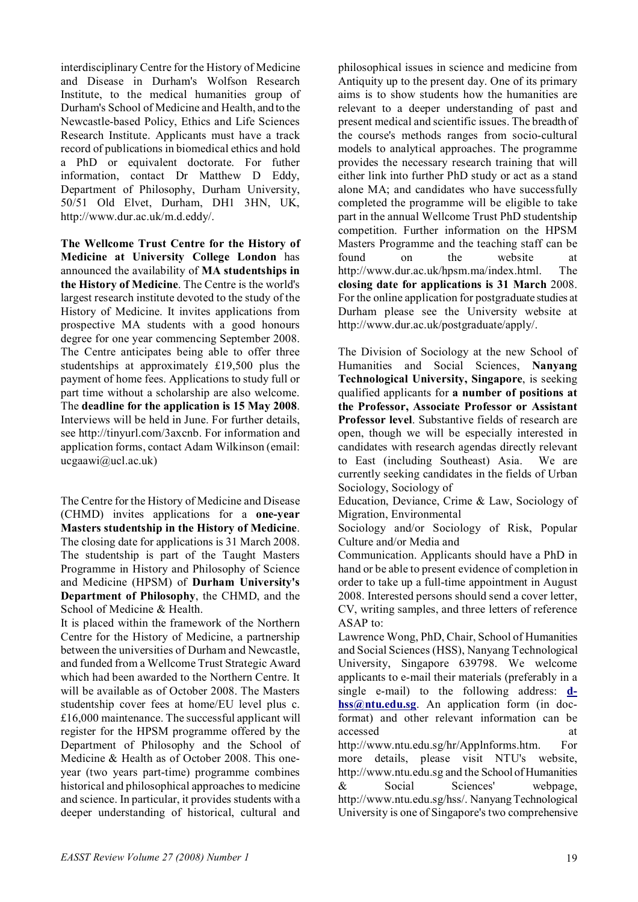interdisciplinary Centre for the History of Medicine and Disease in Durham's Wolfson Research Institute, to the medical humanities group of Durham's School of Medicine and Health, and to the Newcastle-based Policy, Ethics and Life Sciences Research Institute. Applicants must have a track record of publications in biomedical ethics and hold a PhD or equivalent doctorate. For futher information, contact Dr Matthew D Eddy, Department of Philosophy, Durham University, 50/51 Old Elvet, Durham, DH1 3HN, UK, http://www.dur.ac.uk/m.d.eddy/.

**The Wellcome Trust Centre for the History of Medicine at University College London** has announced the availability of **MA studentships in the History of Medicine**. The Centre is the world's largest research institute devoted to the study of the History of Medicine. It invites applications from prospective MA students with a good honours degree for one year commencing September 2008. The Centre anticipates being able to offer three studentships at approximately £19,500 plus the payment of home fees. Applications to study full or part time without a scholarship are also welcome. The **deadline for the application is 15 May 2008**. Interviews will be held in June. For further details, see http://tinyurl.com/3axcnb. For information and application forms, contact Adam Wilkinson (email: ucgaawi@ucl.ac.uk)

The Centre for the History of Medicine and Disease (CHMD) invites applications for a **one-year Masters studentship in the History of Medicine**. The closing date for applications is 31 March 2008. The studentship is part of the Taught Masters Programme in History and Philosophy of Science and Medicine (HPSM) of **Durham University's Department of Philosophy**, the CHMD, and the School of Medicine & Health.

It is placed within the framework of the Northern Centre for the History of Medicine, a partnership between the universities of Durham and Newcastle, and funded from a Wellcome Trust Strategic Award which had been awarded to the Northern Centre. It will be available as of October 2008. The Masters studentship cover fees at home/EU level plus c. £16,000 maintenance. The successful applicant will register for the HPSM programme offered by the Department of Philosophy and the School of Medicine & Health as of October 2008. This oneyear (two years part-time) programme combines historical and philosophical approaches to medicine and science. In particular, it provides students with a deeper understanding of historical, cultural and philosophical issues in science and medicine from Antiquity up to the present day. One of its primary aims is to show students how the humanities are relevant to a deeper understanding of past and present medical and scientific issues. The breadth of the course's methods ranges from socio-cultural models to analytical approaches. The programme provides the necessary research training that will either link into further PhD study or act as a stand alone MA; and candidates who have successfully completed the programme will be eligible to take part in the annual Wellcome Trust PhD studentship competition. Further information on the HPSM Masters Programme and the teaching staff can be found on the website at http://www.dur.ac.uk/hpsm.ma/index.html. The **closing date for applications is 31 March** 2008. For the online application for postgraduate studies at Durham please see the University website at http://www.dur.ac.uk/postgraduate/apply/.

The Division of Sociology at the new School of Humanities and Social Sciences, **Nanyang Technological University, Singapore**, is seeking qualified applicants for **a number of positions at the Professor, Associate Professor or Assistant Professor level**. Substantive fields of research are open, though we will be especially interested in candidates with research agendas directly relevant to East (including Southeast) Asia. We are currently seeking candidates in the fields of Urban Sociology, Sociology of

Education, Deviance, Crime & Law, Sociology of Migration, Environmental

Sociology and/or Sociology of Risk, Popular Culture and/or Media and

Communication. Applicants should have a PhD in hand or be able to present evidence of completion in order to take up a full-time appointment in August 2008. Interested persons should send a cover letter, CV, writing samples, and three letters of reference ASAP to:

Lawrence Wong, PhD, Chair, School of Humanities and Social Sciences (HSS), Nanyang Technological University, Singapore 639798. We welcome applicants to e-mail their materials (preferably in a single e-mail) to the following address: **dhss@ntu.edu.sg**. An application form (in docformat) and other relevant information can be accessed at a strong at a strong at a strong at a strong at a strong at a strong at a strong at a strong at a strong at a strong at a strong at a strong at a strong at a strong at a strong at a strong at a strong at a stro http://www.ntu.edu.sg/hr/Applnforms.htm. For more details, please visit NTU's website,

http://www.ntu.edu.sg and the School of Humanities & Social Sciences' webpage, http://www.ntu.edu.sg/hss/. Nanyang Technological University is one of Singapore's two comprehensive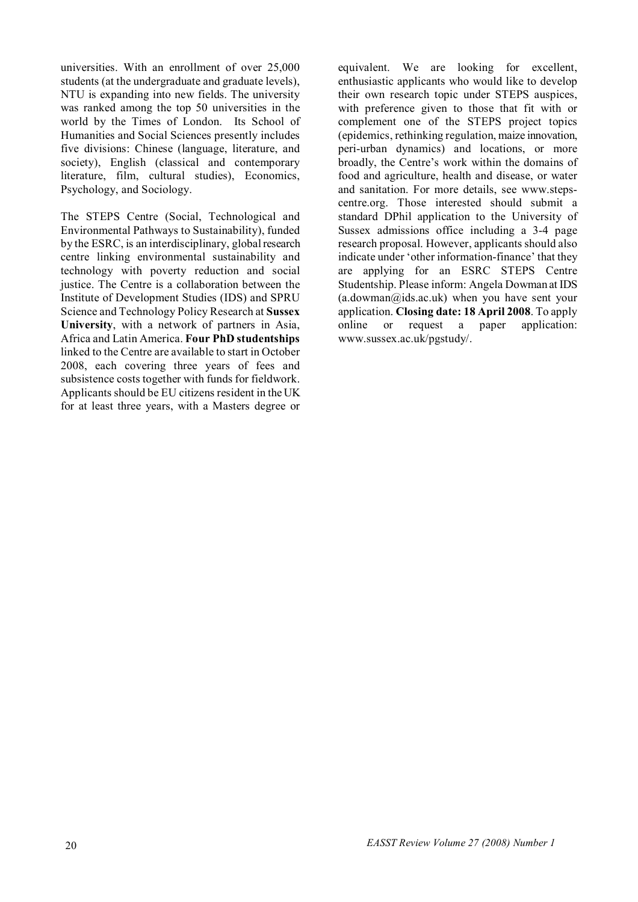universities. With an enrollment of over 25,000 students (at the undergraduate and graduate levels), NTU is expanding into new fields. The university was ranked among the top 50 universities in the world by the Times of London. Its School of Humanities and Social Sciences presently includes five divisions: Chinese (language, literature, and society), English (classical and contemporary literature, film, cultural studies), Economics, Psychology, and Sociology.

The STEPS Centre (Social, Technological and Environmental Pathways to Sustainability), funded by the ESRC, is an interdisciplinary, global research centre linking environmental sustainability and technology with poverty reduction and social justice. The Centre is a collaboration between the Institute of Development Studies (IDS) and SPRU Science and Technology Policy Research at **Sussex University**, with a network of partners in Asia, Africa and Latin America. **Four PhD studentships** linked to the Centre are available to start in October 2008, each covering three years of fees and subsistence costs together with funds for fieldwork. Applicants should be EU citizens resident in the UK for at least three years, with a Masters degree or

equivalent. We are looking for excellent, enthusiastic applicants who would like to develop their own research topic under STEPS auspices, with preference given to those that fit with or complement one of the STEPS project topics (epidemics, rethinking regulation, maize innovation, peri-urban dynamics) and locations, or more broadly, the Centre's work within the domains of food and agriculture, health and disease, or water and sanitation. For more details, see www.stepscentre.org. Those interested should submit a standard DPhil application to the University of Sussex admissions office including a 3-4 page research proposal. However, applicants should also indicate under 'other information-finance' that they are applying for an ESRC STEPS Centre Studentship. Please inform: Angela Dowman at IDS  $(a.dowman@ids.ac.uk)$  when you have sent your application. **Closing date: 18 April 2008**. To apply online or request a paper application: www.sussex.ac.uk/pgstudy/.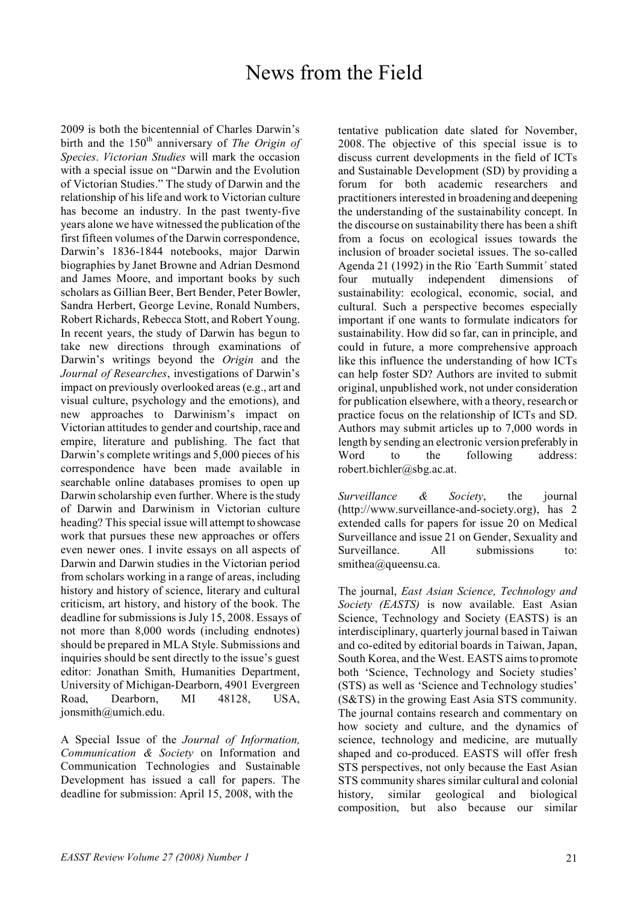## News from the Field

2009 is both the bicentennial of Charles Darwin's birth and the 150<sup>th</sup> anniversary of *The Origin of Species*. *Victorian Studies* will mark the occasion with a special issue on "Darwin and the Evolution of Victorian Studies." The study of Darwin and the relationship of his life and work to Victorian culture has become an industry. In the past twenty-five years alone we have witnessed the publication of the first fifteen volumes of the Darwin correspondence, Darwin's 1836-1844 notebooks, major Darwin biographies by Janet Browne and Adrian Desmond and James Moore, and important books by such scholars as Gillian Beer, Bert Bender, Peter Bowler, Sandra Herbert, George Levine, Ronald Numbers, Robert Richards, Rebecca Stott, and Robert Young. In recent years, the study of Darwin has begun to take new directions through examinations of Darwin's writings beyond the *Origin* and the *Journal of Researches*, investigations of Darwin's impact on previously overlooked areas (e.g., art and visual culture, psychology and the emotions), and new approaches to Darwinism's impact on Victorian attitudes to gender and courtship, race and empire, literature and publishing. The fact that Darwin's complete writings and 5,000 pieces of his correspondence have been made available in searchable online databases promises to open up Darwin scholarship even further. Where is the study of Darwin and Darwinism in Victorian culture heading? This special issue will attempt to showcase work that pursues these new approaches or offers even newer ones. I invite essays on all aspects of Darwin and Darwin studies in the Victorian period from scholars working in a range of areas, including history and history of science, literary and cultural criticism, art history, and history of the book. The deadline for submissions is July 15, 2008. Essays of not more than 8,000 words (including endnotes) should be prepared in MLA Style. Submissions and inquiries should be sent directly to the issue's guest editor: Jonathan Smith, Humanities Department, University of Michigan-Dearborn, 4901 Evergreen Road, Dearborn, MI 48128, USA, jonsmith@umich.edu.

A Special Issue of the *Journal of Information, Communication & Society* on Information and Communication Technologies and Sustainable Development has issued a call for papers. The deadline for submission: April 15, 2008, with the

tentative publication date slated for November, 2008. The objective of this special issue is to discuss current developments in the field of ICTs and Sustainable Development (SD) by providing a forum for both academic researchers and practitioners interested in broadening and deepening the understanding of the sustainability concept. In the discourse on sustainability there has been a shift from a focus on ecological issues towards the inclusion of broader societal issues. The so-called Agenda 21 (1992) in the Rio ´Earth Summit´ stated four mutually independent dimensions of sustainability: ecological, economic, social, and cultural. Such a perspective becomes especially important if one wants to formulate indicators for sustainability. How did so far, can in principle, and could in future, a more comprehensive approach like this influence the understanding of how ICTs can help foster SD? Authors are invited to submit original, unpublished work, not under consideration for publication elsewhere, with a theory, research or practice focus on the relationship of ICTs and SD. Authors may submit articles up to 7,000 words in length by sending an electronic version preferably in Word to the following address: robert.bichler@sbg.ac.at.

*Surveillance & Society*, the journal (http://www.surveillance-and-society.org), has 2 extended calls for papers for issue 20 on Medical Surveillance and issue 21 on Gender, Sexuality and Surveillance. All submissions to: smithea@queensu.ca.

The journal, *East Asian Science, Technology and Society (EASTS)* is now available. East Asian Science, Technology and Society (EASTS) is an interdisciplinary, quarterly journal based in Taiwan and co-edited by editorial boards in Taiwan, Japan, South Korea, and the West. EASTS aims to promote both 'Science, Technology and Society studies' (STS) as well as 'Science and Technology studies' (S&TS) in the growing East Asia STS community. The journal contains research and commentary on how society and culture, and the dynamics of science, technology and medicine, are mutually shaped and co-produced. EASTS will offer fresh STS perspectives, not only because the East Asian STS community shares similar cultural and colonial history, similar geological and biological composition, but also because our similar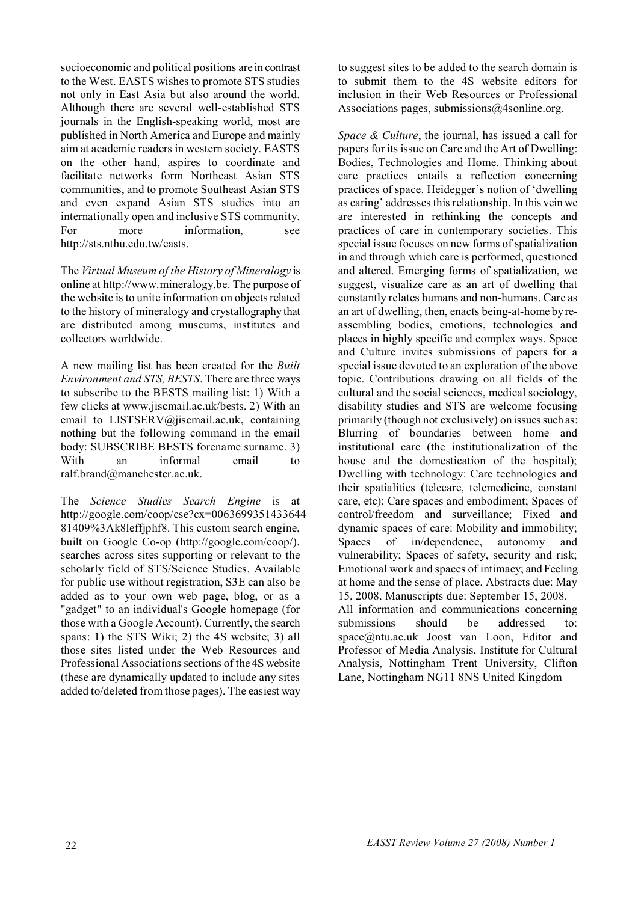socioeconomic and political positions are in contrast to the West. EASTS wishes to promote STS studies not only in East Asia but also around the world. Although there are several well-established STS journals in the English-speaking world, most are published in North America and Europe and mainly aim at academic readers in western society. EASTS on the other hand, aspires to coordinate and facilitate networks form Northeast Asian STS communities, and to promote Southeast Asian STS and even expand Asian STS studies into an internationally open and inclusive STS community. For more information, see http://sts.nthu.edu.tw/easts.

The *Virtual Museum of the History of Mineralogy* is online at http://www.mineralogy.be. The purpose of the website is to unite information on objects related to the history of mineralogy and crystallography that are distributed among museums, institutes and collectors worldwide.

A new mailing list has been created for the *Built Environment and STS, BESTS*. There are three ways to subscribe to the BESTS mailing list: 1) With a few clicks at www.jiscmail.ac.uk/bests. 2) With an email to LISTSERV@jiscmail.ac.uk, containing nothing but the following command in the email body: SUBSCRIBE BESTS forename surname. 3) With an informal email to ralf.brand@manchester.ac.uk.

The *Science Studies Search Engine* is at http://google.com/coop/cse?cx=0063699351433644 81409%3Ak8leffjphf8. This custom search engine, built on Google Co-op (http://google.com/coop/), searches across sites supporting or relevant to the scholarly field of STS/Science Studies. Available for public use without registration, S3E can also be added as to your own web page, blog, or as a "gadget" to an individual's Google homepage (for those with a Google Account). Currently, the search spans: 1) the STS Wiki; 2) the 4S website; 3) all those sites listed under the Web Resources and Professional Associations sections of the 4S website (these are dynamically updated to include any sites added to/deleted from those pages). The easiest way

to suggest sites to be added to the search domain is to submit them to the 4S website editors for inclusion in their Web Resources or Professional Associations pages, submissions@4sonline.org.

*Space & Culture*, the journal, has issued a call for papers for its issue on Care and the Art of Dwelling: Bodies, Technologies and Home. Thinking about care practices entails a reflection concerning practices of space. Heidegger's notion of 'dwelling as caring' addresses this relationship. In this vein we are interested in rethinking the concepts and practices of care in contemporary societies. This special issue focuses on new forms of spatialization in and through which care is performed, questioned and altered. Emerging forms of spatialization, we suggest, visualize care as an art of dwelling that constantly relates humans and non-humans. Care as an art of dwelling, then, enacts being-at-home by reassembling bodies, emotions, technologies and places in highly specific and complex ways. Space and Culture invites submissions of papers for a special issue devoted to an exploration of the above topic. Contributions drawing on all fields of the cultural and the social sciences, medical sociology, disability studies and STS are welcome focusing primarily (though not exclusively) on issues such as: Blurring of boundaries between home and institutional care (the institutionalization of the house and the domestication of the hospital); Dwelling with technology: Care technologies and their spatialities (telecare, telemedicine, constant care, etc); Care spaces and embodiment; Spaces of control/freedom and surveillance; Fixed and dynamic spaces of care: Mobility and immobility; Spaces of in/dependence, autonomy and vulnerability; Spaces of safety, security and risk; Emotional work and spaces of intimacy; and Feeling at home and the sense of place. Abstracts due: May 15, 2008. Manuscripts due: September 15, 2008. All information and communications concerning submissions should be addressed to: space@ntu.ac.uk Joost van Loon, Editor and Professor of Media Analysis, Institute for Cultural Analysis, Nottingham Trent University, Clifton Lane, Nottingham NG11 8NS United Kingdom